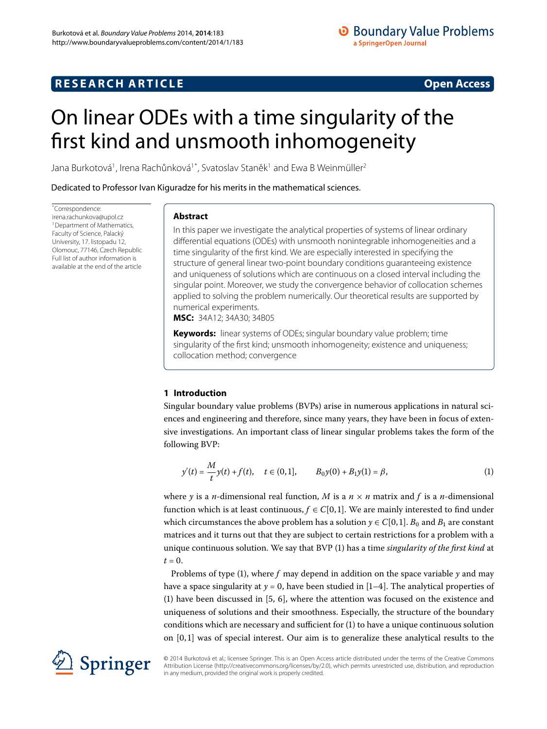## **RESEARCH ARTICLE** *RESEARCH ARTICLE*

# <span id="page-0-0"></span>On linear ODEs with a time singularity of the first kind and unsmooth inhomogeneity

Jana Burkotová<sup>1</sup>, Irena Rachůnková<sup>1[\\*](#page-0-0)</sup>, Svatoslav Staněk<sup>[1](#page-32-0)</sup> and Ewa B Weinmüller<sup>[2](#page-32-1)</sup>

Dedicated to Professor Ivan Kiguradze for his merits in the mathematical sciences.

\* Correspondence: [irena.rachunkova@upol.cz](mailto:irena.rachunkova@upol.cz) <sup>1</sup> Department of Mathematics, Faculty of Science, Palacký University, 17. listopadu 12, Olomouc, 77146, Czech Republic Full list of author information is available at the end of the article

## **Abstract**

In this paper we investigate the analytical properties of systems of linear ordinary differential equations (ODEs) with unsmooth nonintegrable inhomogeneities and a time singularity of the first kind. We are especially interested in specifying the structure of general linear two-point boundary conditions guaranteeing existence and uniqueness of solutions which are continuous on a closed interval including the singular point. Moreover, we study the convergence behavior of collocation schemes applied to solving the problem numerically. Our theoretical results are supported by numerical experiments.

**MSC:** 34A12; 34A30; 34B05

**Keywords:** linear systems of ODEs; singular boundary value problem; time singularity of the first kind; unsmooth inhomogeneity; existence and uniqueness; collocation method; convergence

## <span id="page-0-1"></span>**1 Introduction**

Singular boundary value problems (BVPs) arise in numerous applications in natural sciences and engineering and therefore, since many years, they have been in focus of extensive investigations. An important class of linear singular problems takes the form of the following BVP:

$$
y'(t) = \frac{M}{t}y(t) + f(t), \quad t \in (0,1], \qquad B_0y(0) + B_1y(1) = \beta,
$$
\n(1)

where *y* is a *n*-dimensional real function, *M* is a  $n \times n$  matrix and *f* is a *n*-dimensional function which is at least continuous,  $f \in C[0, 1]$ . We are mainly interested to find under which circumstances the above problem has a solution  $y \in C[0, 1]$ .  $B_0$  and  $B_1$  are constant matrices and it turns out that they are subject to certain restrictions for a problem with a unique continuous solution. We say that BVP () has a time *singularity of the first kind* at  $t = 0$ .

Problems of type (1), where  $f$  may depend in addition on the space variable  $\gamma$  and may have a space singularity at  $y = 0$ , have been studied in [1[–](#page-32-3)4]. The analytical properties of (1[\)](#page-0-1) have been discussed in  $[5, 6]$  $[5, 6]$  $[5, 6]$ , where the attention was focused on the existence and uniqueness of solutions and their smoothness. Especially, the structure of the boundary conditions which are necessary and sufficient for  $(1)$  $(1)$  to have a unique continuous solution on  $[0, 1]$  was of special interest. Our aim is to generalize these analytical results to the



© 2014 Burkotová et al.; licensee Springer. This is an Open Access article distributed under the terms of the Creative Commons Attribution License (http://creativecommons.org/licenses/by/2.0), which permits unrestricted use, distribution, and reproduction in any medium, provided the original work is properly credited.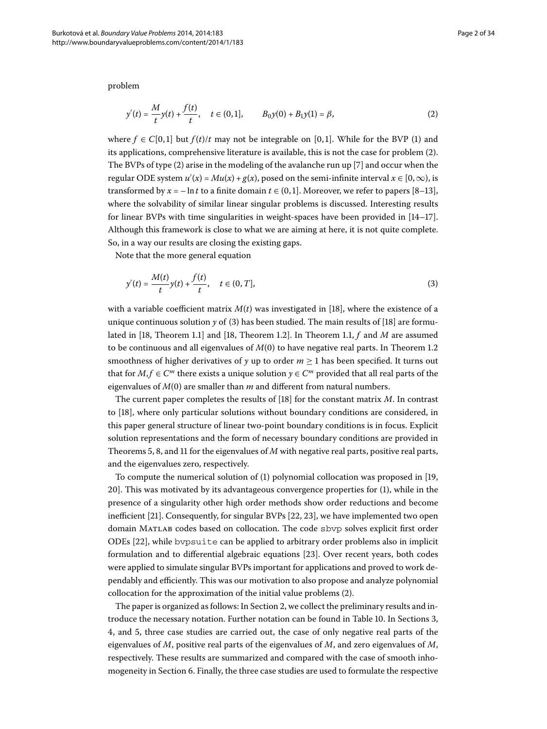<span id="page-1-0"></span>problem

$$
y'(t) = \frac{M}{t}y(t) + \frac{f(t)}{t}, \quad t \in (0,1], \qquad B_0y(0) + B_1y(1) = \beta,
$$
 (2)

where  $f \in C[0,1]$  but  $f(t)/t$  may not be integrable on [0,1]. While for the BVP (1) and its applications, comprehensive literature is available, this is not the case for problem (2[\)](#page-1-0). The BVPs of type  $(2)$  $(2)$  arise in the modeling of the avalanche run up [7[\]](#page-32-6) and occur when the regular ODE system  $u'(x) = Mu(x) + g(x)$ , posed on the semi-infinite interval  $x \in [0, \infty)$ , is transformed by  $x = -\ln t$  to a finite domain  $t \in (0, 1]$  $t \in (0, 1]$ . Moreover, we refer to papers [8[–](#page-32-7)13], where the solvability of similar linear singular problems is discussed. Interesting results for linear BVPs with time singularities in weight-spaces have been provided in  $[14-17]$  $[14-17]$ . Although this framework is close to what we are aiming at here, it is not quite complete. So, in a way our results are closing the existing gaps.

Note that the more general equation

<span id="page-1-1"></span>
$$
y'(t) = \frac{M(t)}{t}y(t) + \frac{f(t)}{t}, \quad t \in (0, T],
$$
\n(3)

with a variable coefficient matrix  $M(t)$  was investigated in [\[](#page-32-11)18], where the existence of a unique continuous solution  $\gamma$  of [\(](#page-1-1)3) has been studied. The main results of [\[](#page-32-11)18] are formu-lated in [\[](#page-32-11)18[,](#page-32-11) Theorem 1.1] and [18, Theorem 1.2]. In Theorem 1.1,  $f$  and  $M$  are assumed to be continuous and all eigenvalues of  $M(0)$  to have negative real parts. In Theorem 1.2 smoothness of higher derivatives of *y* up to order  $m \ge 1$  has been specified. It turns out that for  $M, f \in \mathbb{C}^m$  there exists a unique solution  $y \in \mathbb{C}^m$  provided that all real parts of the eigenvalues of  $M(0)$  are smaller than  $m$  and different from natural numbers.

The current paper completes the results of [\[](#page-32-11)] for the constant matrix *M*. In contrast to [18], where only particular solutions without boundary conditions are considered, in this paper general structure of linear two-point boundary conditions is in focus. Explicit solution representations and the form of necessary boundary conditions are provided in Theorems 5[,](#page-5-0) 8, and 11 for the eigenvalues of  $M$  with negative real parts, positive real parts, and the eigenvalues zero, respectively.

To compute the numerical solution of  $(1)$  $(1)$  polynomial collocation was proposed in [19[,](#page-32-12) ]. This was motivated by its advantageous convergence properties for ([\)](#page-0-1), while in the presence of a singularity other high order methods show order reductions and become inefficient  $[21]$  $[21]$ . Consequently[,](#page-33-1) for singular BVPs  $[22, 23]$ , we have implemented two open domain Matlab codes based on collocation. The code sbvp solves explicit first order  $ODEs [22]$  $ODEs [22]$ , while by psuite can be applied to arbitrary order problems also in implicit formulation and to differential algebraic equations [\[](#page-33-2)23]. Over recent years, both codes were applied to simulate singular BVPs important for applications and proved to work dependably and efficiently. This was our motivation to also propose and analyze polynomial collocation for the approximation of the initial value problems [\(](#page-1-0)2).

The paper is organized as follows: In Section 2[,](#page-2-0) we collect the preliminary results and in-troduce the necessary notation. Further notation can be found in Table 10. In Sections 3[,](#page-4-0) 4[,](#page-7-0) and 5, three case studies are carried out, the case of only negative real parts of the eigenvalues of *M*, positive real parts of the eigenvalues of *M*, and zero eigenvalues of *M*, respectively. These results are summarized and compared with the case of smooth inhomogeneity in Section 6. Finally, the three case studies are used to formulate the respective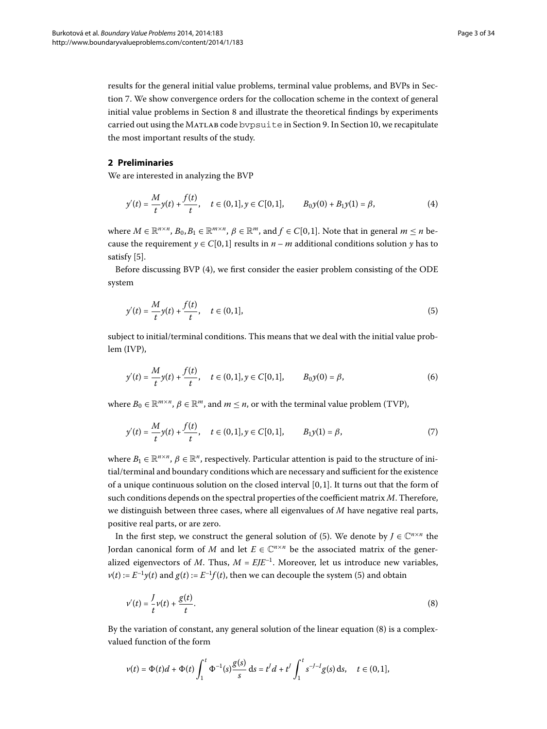<span id="page-2-1"></span><span id="page-2-0"></span>results for the general initial value problems, terminal value problems, and BVPs in Section 7. We show convergence orders for the collocation scheme in the context of general initial value problems in Section 8 and illustrate the theoretical findings by experiments carried out using the MATLAB code bypsuite in Section 9. In Section 10, we recapitulate the most important results of the study.

#### **2 Preliminaries**

We are interested in analyzing the BVP

$$
y'(t) = \frac{M}{t}y(t) + \frac{f(t)}{t}, \quad t \in (0,1], y \in C[0,1], \qquad B_0y(0) + B_1y(1) = \beta,
$$
 (4)

<span id="page-2-2"></span>where  $M \in \mathbb{R}^{n \times n}$ ,  $B_0, B_1 \in \mathbb{R}^{m \times n}$ ,  $\beta \in \mathbb{R}^m$ , and  $f \in C[0,1]$ . Note that in general  $m \le n$  because the requirement  $\gamma \in C[0,1]$  results in  $n-m$  additional conditions solution  $\gamma$  has to satisfy  $[5]$  $[5]$ .

Before discussing BVP (4[\)](#page-2-1), we first consider the easier problem consisting of the ODE system

<span id="page-2-4"></span>
$$
y'(t) = \frac{M}{t}y(t) + \frac{f(t)}{t}, \quad t \in (0,1],
$$
\n(5)

<span id="page-2-5"></span>subject to initial/terminal conditions. This means that we deal with the initial value problem (IVP),

$$
y'(t) = \frac{M}{t}y(t) + \frac{f(t)}{t}, \quad t \in (0,1], y \in C[0,1], \qquad B_0y(0) = \beta,
$$
 (6)

where  $B_0 \in \mathbb{R}^{m \times n}$ ,  $\beta \in \mathbb{R}^m$ , and  $m \leq n$ , or with the terminal value problem (TVP),

$$
y'(t) = \frac{M}{t}y(t) + \frac{f(t)}{t}, \quad t \in (0,1], y \in C[0,1], \qquad B_1y(1) = \beta,
$$
\n<sup>(7)</sup>

where  $B_1 \in \mathbb{R}^{n \times n}$ ,  $\beta \in \mathbb{R}^n$ , respectively. Particular attention is paid to the structure of initial/terminal and boundary conditions which are necessary and sufficient for the existence of a unique continuous solution on the closed interval  $[0, 1]$ . It turns out that the form of such conditions depends on the spectral properties of the coefficient matrix *M*. Therefore, we distinguish between three cases, where all eigenvalues of *M* have negative real parts, positive real parts, or are zero.

In the first step, we construct the general solution of [\(](#page-2-2)5). We denote by  $J \in \mathbb{C}^{n \times n}$  the Jordan canonical form of *M* and let  $E \in \mathbb{C}^{n \times n}$  be the associated matrix of the generalized eigenvectors of *M*. Thus,  $M = E/E^{-1}$ . Moreover, let us introduce new variables,  $v(t) := E^{-1}v(t)$  $v(t) := E^{-1}v(t)$  $v(t) := E^{-1}v(t)$  and  $g(t) := E^{-1}f(t)$ , then we can decouple the system (5) and obtain

<span id="page-2-3"></span>
$$
v'(t) = \frac{1}{t}v(t) + \frac{g(t)}{t}.\tag{8}
$$

By the variation of constant, any general solution of the linear equation  $(8)$  $(8)$  is a complexvalued function of the form

$$
v(t) = \Phi(t)d + \Phi(t)\int_1^t \Phi^{-1}(s)\frac{g(s)}{s} ds = t^J d + t^J \int_1^t s^{-J-1}g(s) ds, \quad t \in (0,1],
$$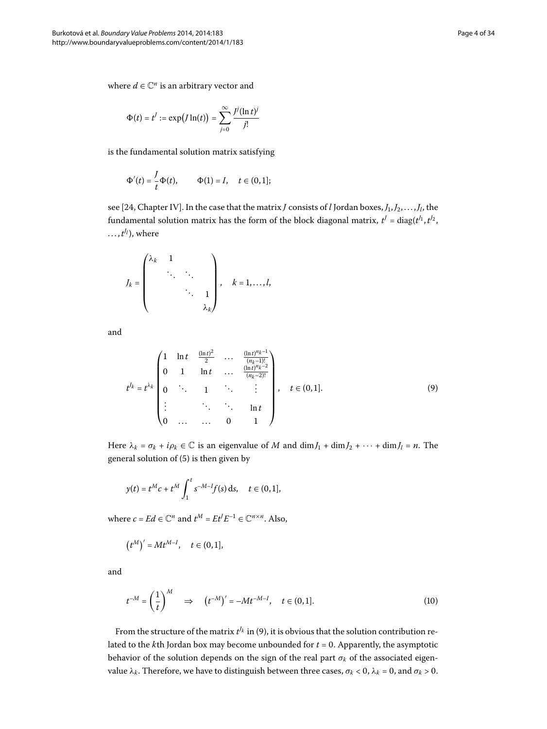$$
\Phi(t) = t^J := \exp\bigl(J\ln(t)\bigr) = \sum_{j=0}^{\infty} \frac{j^j(\ln t)^j}{j!}
$$

is the fundamental solution matrix satisfying

$$
\Phi'(t) = \frac{J}{t}\Phi(t), \qquad \Phi(1) = I, \quad t \in (0,1];
$$

see [24, Chapter IV]. In the case that the matrix *J* consists of *l* Jordan boxes,  $J_1, J_2, \ldots, J_l$ , the fundamental solution matrix has the form of the block diagonal matrix,  $t^J$  = diag( $t^{J_1}, t^{J_2},$  $\dots, t^{J_l}$ , where

$$
J_k = \begin{pmatrix} \lambda_k & 1 & & \\ & \ddots & \ddots & \\ & & \ddots & 1 \\ & & & \lambda_k \end{pmatrix}, \quad k = 1, \dots, l,
$$

and

<span id="page-3-0"></span>
$$
t^{J_k} = t^{\lambda_k} \begin{pmatrix} 1 & \ln t & \frac{(\ln t)^2}{2} & \cdots & \frac{(\ln t)^{n_k - 1}}{(n_k - 1)!} \\ 0 & 1 & \ln t & \cdots & \frac{(\ln t)^{n_k - 2}}{(n_k - 2)!} \\ 0 & \ddots & 1 & \ddots & \vdots \\ \vdots & \ddots & \ddots & \ln t \\ 0 & \cdots & \cdots & 0 & 1 \end{pmatrix}, \quad t \in (0, 1].
$$
 (9)

Here  $\lambda_k = \sigma_k + i\rho_k \in \mathbb{C}$  is an eigenvalue of *M* and dim  $J_1 + \dim J_2 + \cdots + \dim J_l = n$ . The general solution of  $(5)$  $(5)$  is then given by

$$
y(t) = t^M c + t^M \int_1^t s^{-M-l} f(s) \, ds, \quad t \in (0,1],
$$

where  $c = Ed \in \mathbb{C}^n$  and  $t^M = Et^J E^{-1} \in \mathbb{C}^{n \times n}$ . Also,

<span id="page-3-1"></span>
$$
(t^M)' = Mt^{M-I}, \quad t \in (0,1],
$$

and

$$
t^{-M} = \left(\frac{1}{t}\right)^M \quad \Rightarrow \quad \left(t^{-M}\right)' = -Mt^{-M-l}, \quad t \in (0,1]. \tag{10}
$$

From the structure of the matrix  $t^{J_k}$  in [\(](#page-3-0)9), it is obvious that the solution contribution related to the  $k$ th Jordan box may become unbounded for  $t = 0$ . Apparently, the asymptotic behavior of the solution depends on the sign of the real part *σ<sup>k</sup>* of the associated eigenvalue  $λ_k$ . Therefore, we have to distinguish between three cases,  $σ_k < 0$ ,  $λ_k = 0$ , and  $σ_k > 0$ .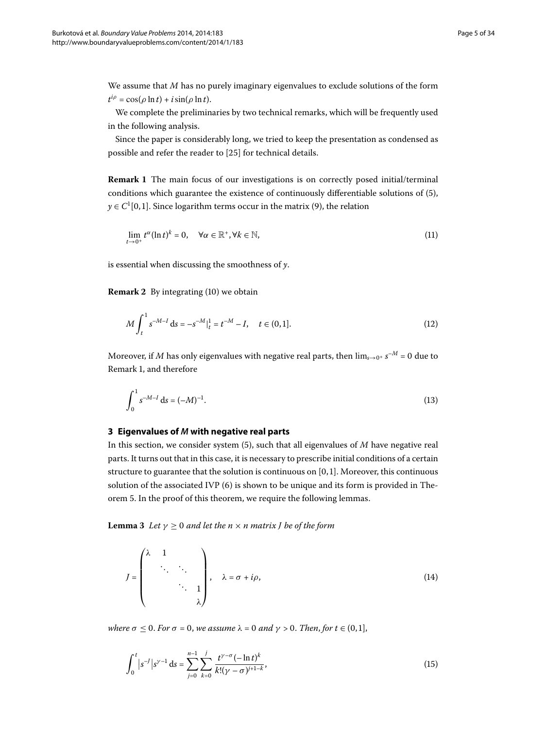<span id="page-4-1"></span>We assume that *M* has no purely imaginary eigenvalues to exclude solutions of the form  $t^{i\rho} = \cos(\rho \ln t) + i \sin(\rho \ln t).$ 

We complete the preliminaries by two technical remarks, which will be frequently used in the following analysis.

Since the paper is considerably long, we tried to keep the presentation as condensed as possible and refer the reader to [\[](#page-33-4)25] for technical details.

**Remark 1** The main focus of our investigations is on correctly posed initial/terminal conditions which guarantee the existence of continuously differentiable solutions of  $(5)$  $(5)$ ,  $y \in C^1[0,1]$ . Since logarithm terms occur in the matrix (9[\)](#page-3-0), the relation

<span id="page-4-7"></span><span id="page-4-2"></span>
$$
\lim_{t \to 0^+} t^{\alpha} (\ln t)^k = 0, \quad \forall \alpha \in \mathbb{R}^+, \forall k \in \mathbb{N}, \tag{11}
$$

is essential when discussing the smoothness of *y*.

**Remark 2** By integrating (10[\)](#page-3-1) we obtain

<span id="page-4-4"></span>
$$
M \int_{t}^{1} s^{-M-I} ds = -s^{-M}|_{t}^{1} = t^{-M} - I, \quad t \in (0,1].
$$
 (12)

<span id="page-4-0"></span>Moreover, if *M* has only eigenvalues with negative real parts, then  $\lim_{s\to 0^+} s^{-M} = 0$  due to Remark 1[,](#page-4-1) and therefore

$$
\int_0^1 s^{-M-I} \, \mathrm{d}s = (-M)^{-1}.\tag{13}
$$

#### **3 Eigenvalues of** *M* **with negative real parts**

<span id="page-4-5"></span>In this section, we consider system  $(5)$  $(5)$ , such that all eigenvalues of *M* have negative real parts. It turns out that in this case, it is necessary to prescribe initial conditions of a certain structure to guarantee that the solution is continuous on  $[0, 1]$ . Moreover, this continuous solution of the associated IVP  $(6)$  is shown to be unique and its form is provided in Theorem 5. In the proof of this theorem, we require the following lemmas.

**Lemma 3** Let  $\gamma \geq 0$  and let the  $n \times n$  matrix *J* be of the form

<span id="page-4-6"></span><span id="page-4-3"></span>
$$
J = \begin{pmatrix} \lambda & 1 & & & \\ & \ddots & \ddots & \\ & & \ddots & 1 \\ & & & \lambda \end{pmatrix}, \quad \lambda = \sigma + i\rho,
$$
 (14)

*where*  $\sigma \leq 0$ *. For*  $\sigma = 0$ *, we assume*  $\lambda = 0$  *and*  $\gamma > 0$ *. Then, for*  $t \in (0,1]$ *,* 

$$
\int_0^t |s^{-1}|s^{\gamma-1} ds = \sum_{j=0}^{n-1} \sum_{k=0}^j \frac{t^{\gamma-\sigma} (-\ln t)^k}{k!(\gamma-\sigma)^{j+1-k}},
$$
\n(15)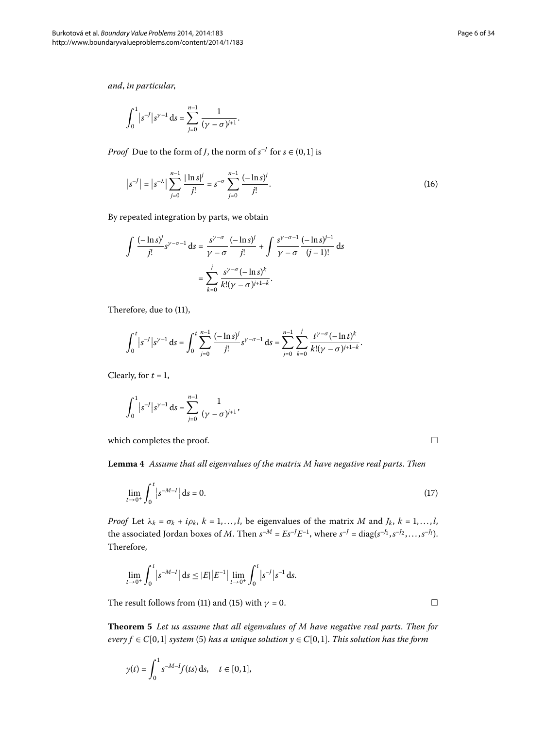*and*, *in particular*,

<span id="page-5-3"></span>
$$
\int_0^1 |s^{-1}|s^{\gamma-1} ds = \sum_{j=0}^{n-1} \frac{1}{(\gamma - \sigma)^{j+1}}.
$$

*Proof* Due to the form of *J*, the norm of  $s^{-J}$  for  $s \in (0,1]$  is

$$
\left| s^{-J} \right| = \left| s^{-\lambda} \right| \sum_{j=0}^{n-1} \frac{|\ln s|^j}{j!} = s^{-\sigma} \sum_{j=0}^{n-1} \frac{(-\ln s)^j}{j!}.
$$
 (16)

By repeated integration by parts, we obtain

$$
\int \frac{(-\ln s)^j}{j!} s^{\gamma - \sigma - 1} ds = \frac{s^{\gamma - \sigma}}{\gamma - \sigma} \frac{(-\ln s)^j}{j!} + \int \frac{s^{\gamma - \sigma - 1}}{\gamma - \sigma} \frac{(-\ln s)^{j - 1}}{(j - 1)!} ds
$$

$$
= \sum_{k=0}^j \frac{s^{\gamma - \sigma} (-\ln s)^k}{k! (\gamma - \sigma)^{j + 1 - k}}.
$$

Therefore, due to  $(11)$  $(11)$ ,

$$
\int_0^t |s^{-1}|s^{\gamma-1} ds = \int_0^t \sum_{j=0}^{n-1} \frac{(-\ln s)^j}{j!} s^{\gamma-\sigma-1} ds = \sum_{j=0}^{n-1} \sum_{k=0}^j \frac{t^{\gamma-\sigma} (-\ln t)^k}{k!(\gamma-\sigma)^{j+1-k}}.
$$

<span id="page-5-2"></span>Clearly, for  $t = 1$ ,

$$
\int_0^1 |s^{-1}|s^{\gamma-1} ds = \sum_{j=0}^{n-1} \frac{1}{(\gamma - \sigma)^{j+1}},
$$

which completes the proof.

**Lemma**  *Assume that all eigenvalues of the matrix M have negative real parts*. *Then*

$$
\lim_{t \to 0^+} \int_0^t |s^{-M-1}| \, \mathrm{d}s = 0. \tag{17}
$$

<span id="page-5-0"></span>*Proof* Let  $\lambda_k = \sigma_k + i\rho_k$ ,  $k = 1, \ldots, l$ , be eigenvalues of the matrix *M* and  $J_k$ ,  $k = 1, \ldots, l$ , the associated Jordan boxes of *M*. Then  $s^{-M} = E s^{-f} E^{-1}$ , where  $s^{-f} = \text{diag}(s^{-f_1}, s^{-f_2}, \ldots, s^{-f_l}).$ Therefore,

$$
\lim_{t \to 0^+} \int_0^t |s^{-M-1}| \, ds \le |E| \left| E^{-1} \right| \lim_{t \to 0^+} \int_0^t |s^{-1}| s^{-1} \, ds.
$$

The result follows from [\(](#page-4-2)11) and (15) with  $\gamma = 0$ .

**Theorem**  *Let us assume that all eigenvalues of M have negative real parts*. *Then for*  $every f \in C[0,1]$  *system* (5[\)](#page-2-2) has a unique solution  $y \in C[0,1]$ . This solution has the form

$$
y(t) = \int_0^1 s^{-M-1} f(ts) \, ds, \quad t \in [0,1],
$$

<span id="page-5-1"></span> $\Box$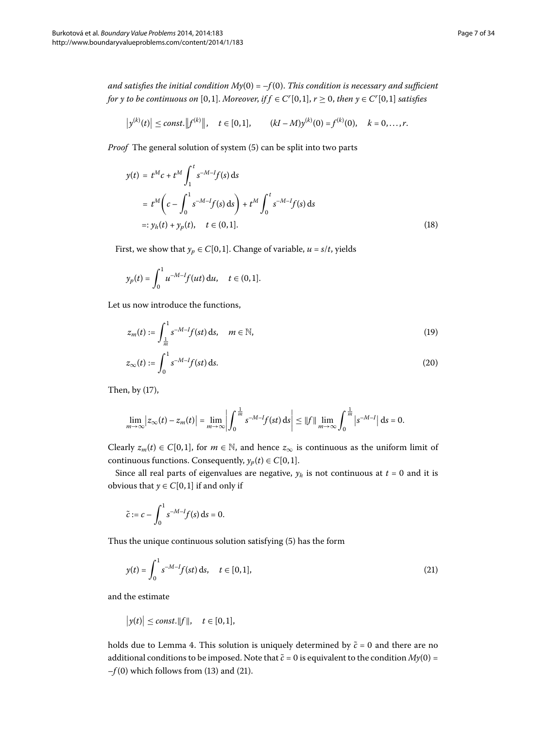*and satisfies the initial condition My*(0) =  $-f(0)$ . *This condition is necessary and sufficient for y to be continuous on* [0,1]. *Moreover, if f*  $\in$  *C*<sup>*r*</sup>[0,1], *r*  $\geq$  0, *then y*  $\in$  *C<sup><i>r*</sup>[0,1] satisfies

<span id="page-6-1"></span>
$$
\left|y^{(k)}(t)\right| \leq const.\left\|f^{(k)}\right\|, \quad t \in [0,1], \qquad (kI - M)y^{(k)}(0) = f^{(k)}(0), \quad k = 0, \ldots, r.
$$

*Proof* The general solution of system (5[\)](#page-2-2) can be split into two parts

$$
y(t) = t^{M}c + t^{M} \int_{1}^{t} s^{-M-I} f(s) ds
$$
  
=  $t^{M} \left( c - \int_{0}^{1} s^{-M-I} f(s) ds \right) + t^{M} \int_{0}^{t} s^{-M-I} f(s) ds$   
=:  $y_{h}(t) + y_{p}(t), \quad t \in (0,1].$  (18)

First, we show that  $y_p \in C[0, 1]$ . Change of variable,  $u = s/t$ , yields

<span id="page-6-3"></span><span id="page-6-2"></span>
$$
y_p(t) = \int_0^1 u^{-M-l} f(ut) \, \mathrm{d}u, \quad t \in (0,1].
$$

Let us now introduce the functions,

$$
z_m(t) := \int_{\frac{1}{m}}^1 s^{-M-l} f(st) \, \mathrm{d} s, \quad m \in \mathbb{N}, \tag{19}
$$

$$
z_{\infty}(t) := \int_0^1 s^{-M-1} f(st) \, \mathrm{d}s. \tag{20}
$$

Then, by  $(17)$  $(17)$ ,

$$
\lim_{m \to \infty} |z_{\infty}(t) - z_m(t)| = \lim_{m \to \infty} \left| \int_0^{\frac{1}{m}} s^{-M-1} f(st) \, ds \right| \leq ||f|| \lim_{m \to \infty} \int_0^{\frac{1}{m}} |s^{-M-1}| \, ds = 0.
$$

Clearly  $z_m(t) \in C[0,1]$ , for  $m \in \mathbb{N}$ , and hence  $z_\infty$  is continuous as the uniform limit of continuous functions. Consequently,  $y_p(t) \in C[0, 1]$ .

Since all real parts of eigenvalues are negative,  $y_h$  is not continuous at  $t = 0$  and it is obvious that  $y \in C[0, 1]$  if and only if

<span id="page-6-0"></span>
$$
\tilde{c} := c - \int_0^1 s^{-M-I} f(s) \, \mathrm{d} s = 0.
$$

Thus the unique continuous solution satisfying (5[\)](#page-2-2) has the form

$$
y(t) = \int_0^1 s^{-M-1} f(st) \, ds, \quad t \in [0,1], \tag{21}
$$

and the estimate

$$
\big|y(t)\big|\leq const.\|f\|,\quad t\in[0,1],
$$

holds due to Lemma 4. This solution is uniquely determined by  $\tilde{c} = 0$  and there are no additional conditions to be imposed. Note that  $\tilde{c}$  = 0 is equivalent to the condition  $My(0)$  =  $-f(0)$  $-f(0)$  which follows from [\(](#page-6-0)13) and (21).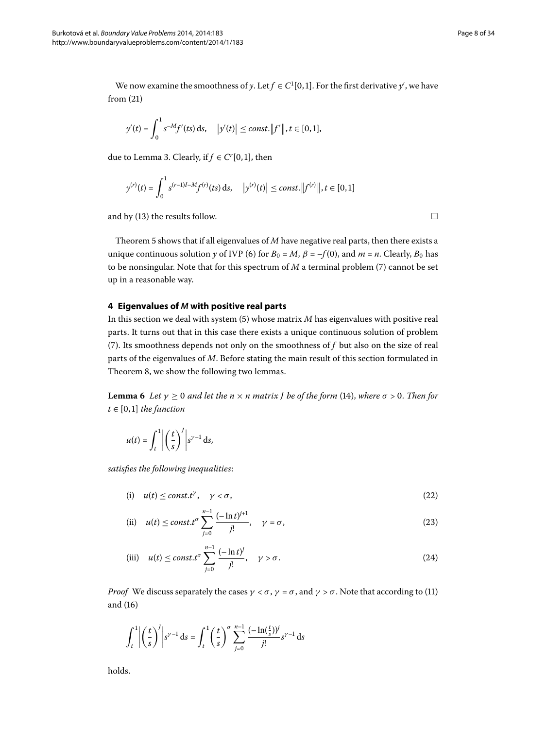We now examine the smoothness of *y*. Let  $f \in C^1[0,1]$ . For the first derivative *y*', we have from  $(21)$  $(21)$ 

$$
y'(t) = \int_0^1 s^{-M} f'(t s) \, ds, \quad |y'(t)| \le const. ||f'||, t \in [0,1],
$$

due to Lemma 3[.](#page-4-5) Clearly, if  $f \in C^r[0,1]$ , then

$$
y^{(r)}(t) = \int_0^1 s^{(r-1)I-M} f^{(r)}(ts) \, ds, \quad |y^{(r)}(t)| \le const. \|f^{(r)}\|, t \in [0,1]
$$

<span id="page-7-0"></span>and by [\(](#page-4-4)13) the results follow.  $\Box$ 

Theorem 5 shows that if all eigenvalues of *M* have negative real parts, then there exists a unique continuous solution *y* of IVP (6) for  $B_0 = M$ ,  $\beta = -f(0)$ , and  $m = n$ . Clearly,  $B_0$  has to be nonsingular. Note that for this spectrum of  $M$  a terminal problem  $(7)$  $(7)$  cannot be set up in a reasonable way.

## **4 Eigenvalues of** *M* **with positive real parts**

In this section we deal with system  $(5)$  whose matrix  $M$  has eigenvalues with positive real parts. It turns out that in this case there exists a unique continuous solution of problem (7[\)](#page-2-5). Its smoothness depends not only on the smoothness of  $f$  but also on the size of real parts of the eigenvalues of *M*. Before stating the main result of this section formulated in Theorem 8[,](#page-8-0) we show the following two lemmas.

**Lemma 6** Let  $\gamma \geq 0$  and let the  $n \times n$  matrix *J* be of the form [\(](#page-4-6)14), where  $\sigma > 0$ . Then for  $t \in [0, 1]$  *the function* 

$$
u(t) = \int_t^1 \left| \left( \frac{t}{s} \right)^j \right| s^{\gamma - 1} \, \mathrm{d} s,
$$

*satisfies the following inequalities*:

<span id="page-7-2"></span>(i) 
$$
u(t) \le \text{const.}t^{\gamma}, \quad \gamma < \sigma,
$$
 (22)

(ii) 
$$
u(t) \le \text{const.} t^{\sigma} \sum_{j=0}^{n-1} \frac{(-\ln t)^{j+1}}{j!}, \quad \gamma = \sigma,
$$
 (23)

(iii) 
$$
u(t) \le \text{const.} t^{\sigma} \sum_{j=0}^{n-1} \frac{(-\ln t)^j}{j!}, \quad \gamma > \sigma.
$$
 (24)

*Proof* We discuss separately the cases  $\gamma < \sigma$ ,  $\gamma = \sigma$ , and  $\gamma > \sigma$ . Note that according to (11) and  $(16)$  $(16)$ 

$$
\int_{t}^{1} \left| \left( \frac{t}{s} \right)^{j} \right| s^{\gamma - 1} ds = \int_{t}^{1} \left( \frac{t}{s} \right)^{\sigma} \sum_{j=0}^{n-1} \frac{(-\ln(\frac{t}{s}))^{j}}{j!} s^{\gamma - 1} ds
$$

holds.

<span id="page-7-1"></span>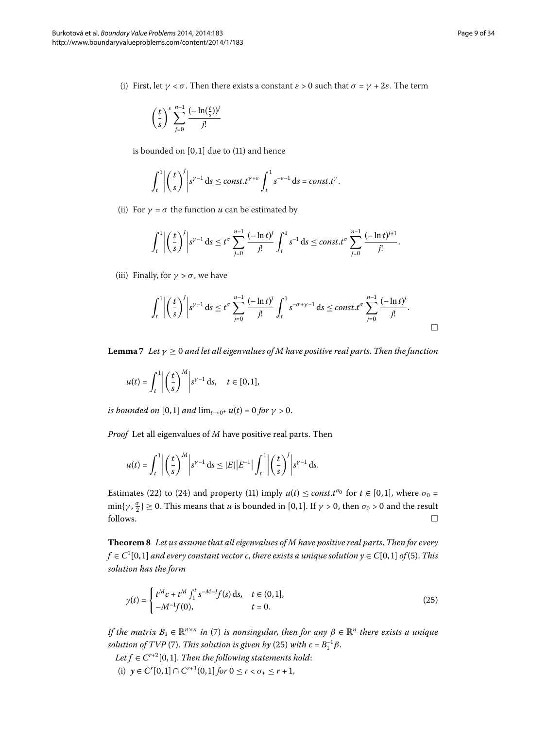(i) First, let  $\gamma < \sigma$ . Then there exists a constant  $\varepsilon > 0$  such that  $\sigma = \gamma + 2\varepsilon$ . The term

$$
\left(\frac{t}{s}\right)^{\varepsilon} \sum_{j=0}^{n-1} \frac{(-\ln(\frac{t}{s}))^j}{j!}
$$

is bounded on  $[0, 1]$  due to  $(11)$  and hence

$$
\int_t^1 \left| \left(\frac{t}{s}\right)'\right| s^{\gamma-1} ds \le const.t^{\gamma+\varepsilon} \int_t^1 s^{-\varepsilon-1} ds = const.t^{\gamma}.
$$

(ii) For  $\gamma = \sigma$  the function *u* can be estimated by

$$
\int_{t}^{1} \left| \left( \frac{t}{s} \right)^{j} \right| s^{y-1} ds \leq t^{\sigma} \sum_{j=0}^{n-1} \frac{(-\ln t)^{j}}{j!} \int_{t}^{1} s^{-1} ds \leq const \cdot t^{\sigma} \sum_{j=0}^{n-1} \frac{(-\ln t)^{j+1}}{j!}.
$$

<span id="page-8-2"></span>(iii) Finally, for  $\gamma > \sigma$ , we have

$$
\int_t^1 \left| \left( \frac{t}{s} \right)' \right| s^{\gamma-1} ds \le t^{\sigma} \sum_{j=0}^{n-1} \frac{(-\ln t)^j}{j!} \int_t^1 s^{-\sigma+\gamma-1} ds \le const \cdot t^{\sigma} \sum_{j=0}^{n-1} \frac{(-\ln t)^j}{j!}.
$$

**Lemma** *7* Let  $\gamma \geq 0$  and let all eigenvalues of M have positive real parts. Then the function

$$
u(t) = \int_t^1 \left| \left(\frac{t}{s}\right)^M \right| s^{\gamma - 1} \, \mathrm{d}s, \quad t \in [0, 1],
$$

*is bounded on* [0,1] *and*  $\lim_{t\to 0^+} u(t) = 0$  *for*  $\gamma > 0$ .

<span id="page-8-0"></span>*Proof* Let all eigenvalues of *M* have positive real parts. Then

<span id="page-8-1"></span>
$$
u(t) = \int_t^1 \left| \left( \frac{t}{s} \right)^M \right| s^{\gamma - 1} ds \leq |E| |E^{-1}| \int_t^1 \left| \left( \frac{t}{s} \right)^j \right| s^{\gamma - 1} ds.
$$

Estimates [\(](#page-7-1)22) to (24) and property (11) imply  $u(t) \le const.t^{\sigma_0}$  for  $t \in [0,1]$ , where  $\sigma_0 =$  $\min\{\gamma, \frac{\sigma}{2}\} \ge 0$ . This means that *u* is bounded in [0,1]. If  $\gamma > 0$ , then  $\sigma_0 > 0$  and the result  $\Box$  follows.

**Theorem**  *Let us assume that all eigenvalues of M have positive real parts*. *Then for every*  $f \in C^1[0,1]$  and every constant vector  $c$ , there exists a unique solution  $y \in C[0,1]$  of [\(](#page-2-2)5). This *solution has the form*

$$
y(t) = \begin{cases} t^M c + t^M \int_1^t s^{-M-1} f(s) \, ds, & t \in (0,1], \\ -M^{-1} f(0), & t = 0. \end{cases}
$$
(25)

*If the matrix*  $B_1 \in \mathbb{R}^{n \times n}$  *in* (7) *is nonsingular, then for any*  $\beta \in \mathbb{R}^n$  *there exists a unique solution of TVP* [\(](#page-8-1)7). *This solution is given by* (25) *with c* =  $B_1^{-1}\beta$ .

*Let*  $f \in C^{r+2}[0,1]$ *. Then the following statements hold:* (i)  $y \in C^{r}[0,1] \cap C^{r+3}(0,1]$  *for*  $0 \leq r < \sigma_{+} \leq r+1$ ,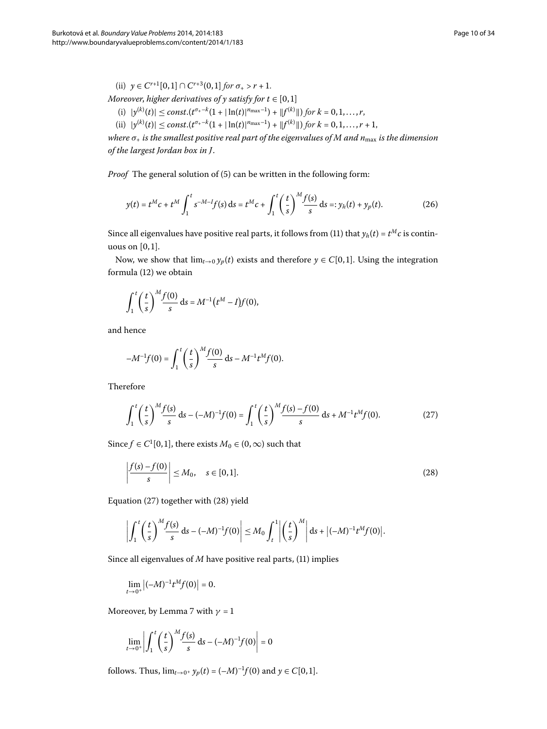(ii)  $\gamma \in C^{r+1}[0,1] \cap C^{r+3}(0,1]$  *for*  $\sigma_+ > r+1$ .

*Moreover, higher derivatives of y satisfy for t*  $\in$  [0,1]

- $(|i| |y^{(k)}(t)| \leq \text{const.}(t^{\sigma_1-k}(1+|\ln(t)|^{n_{\text{max}}-1}) + ||f^{(k)}||)$  for  $k = 0, 1, ..., r$ ,
- <span id="page-9-2"></span> $|\text{tr}(i)| \le \text{const.}(t^{\sigma_+ - k}(1 + |\ln(t)|^{n_{\text{max}}-1}) + |f^{(k)}|) \text{ for } k = 0, 1, ..., r + 1,$

*where*  $σ_+$  *is the smallest positive real part of the eigenvalues of M and n*<sub>max</sub> *is the dimension of the largest Jordan box in J*.

*Proof* The general solution of (5) can be written in the following form:

$$
y(t) = t^M c + t^M \int_1^t s^{-M-1} f(s) ds = t^M c + \int_1^t \left(\frac{t}{s}\right)^M \frac{f(s)}{s} ds =: y_h(t) + y_p(t).
$$
 (26)

Since all eigenvalues have positive real parts, it follows from (11[\)](#page-4-2) that  $y_h(t) = t^M c$  is continuous on  $[0, 1]$ .

Now, we show that  $\lim_{t\to 0} y_p(t)$  exists and therefore  $y \in C[0,1]$ . Using the integration formula  $(12)$  we obtain

$$
\int_1^t \left(\frac{t}{s}\right)^M \frac{f(0)}{s} \, \mathrm{d} s = M^{-1} \big( t^M - I \big) f(0),
$$

and hence

<span id="page-9-0"></span>
$$
-M^{-1}f(0) = \int_1^t \left(\frac{t}{s}\right)^M \frac{f(0)}{s} \, \mathrm{d}s - M^{-1}t^M f(0).
$$

Therefore

<span id="page-9-1"></span>
$$
\int_{1}^{t} \left(\frac{t}{s}\right)^{M} \frac{f(s)}{s} ds - (-M)^{-1} f(0) = \int_{1}^{t} \left(\frac{t}{s}\right)^{M} \frac{f(s) - f(0)}{s} ds + M^{-1} t^{M} f(0).
$$
 (27)

Since  $f \in C^1[0,1]$ , there exists  $M_0 \in (0,\infty)$  such that

$$
\left|\frac{f(s)-f(0)}{s}\right| \le M_0, \quad s \in [0,1].\tag{28}
$$

Equation  $(27)$  $(27)$  together with  $(28)$  yield

$$
\left|\int_1^t \left(\frac{t}{s}\right)^M \frac{f(s)}{s} ds - (-M)^{-1} f(0)\right| \leq M_0 \int_t^1 \left|\left(\frac{t}{s}\right)^M\right| ds + \left|(-M)^{-1} t^M f(0)\right|.
$$

Since all eigenvalues of  $M$  have positive real parts,  $(11)$  implies

$$
\lim_{t\to 0^+}\left|(-M)^{-1}t^Mf(0)\right|=0.
$$

Moreover, by Lemma 7 with  $\gamma = 1$ 

$$
\lim_{t \to 0^+} \left| \int_1^t \left( \frac{t}{s} \right)^M \frac{f(s)}{s} \, \mathrm{d}s - (-M)^{-1} f(0) \right| = 0
$$

follows. Thus,  $\lim_{t \to 0^+} y_p(t) = (-M)^{-1} f(0)$  and  $y \in C[0, 1]$ .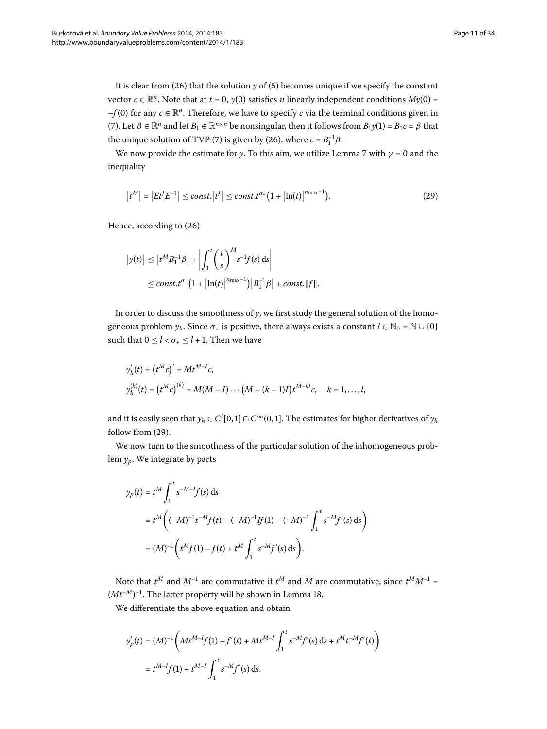It is clear from (26[\)](#page-2-2) that the solution  $\gamma$  of (5) becomes unique if we specify the constant vector  $c \in \mathbb{R}^n$ . Note that at  $t = 0$ ,  $y(0)$  satisfies *n* linearly independent conditions  $My(0) =$  $-f(0)$  for any  $c \in \mathbb{R}^n$ . Therefore, we have to specify *c* via the terminal conditions given in (7[\)](#page-2-5). Let  $\beta \in \mathbb{R}^n$  and let  $B_1 \in \mathbb{R}^{n \times n}$  be nonsingular, then it follows from  $B_1y(1) = B_1c = \beta$  that the unique solution of TVP [\(](#page-2-5)7) is given by (26), where  $c = B_1^{-1}\beta$ .

We now provide the estimate for *y*. To this aim, we utilize Lemma 7 with  $\gamma = 0$  and the inequality

<span id="page-10-0"></span>
$$
\left|t^M\right| = \left|Et^J E^{-1}\right| \le \text{const.} \left|t^J\right| \le \text{const.} t^{\sigma_+} \left(1 + \left|\ln(t)\right|^{\text{n}_{\text{max}}-1}\right). \tag{29}
$$

Hence, according to  $(26)$ 

$$
\begin{aligned} \left| y(t) \right| &\leq \left| t^M B_1^{-1} \beta \right| + \left| \int_1^t \left( \frac{t}{s} \right)^M s^{-1} f(s) \, \mathrm{d}s \right| \\ &\leq \textit{const.} t^{\sigma_+} \big( 1 + \left| \ln(t) \right|^{n_{\text{max}}-1} \big) \left| B_1^{-1} \beta \right| + \textit{const.} \|\mathit{f}\|.\end{aligned}
$$

In order to discuss the smoothness of *y*, we first study the general solution of the homogeneous problem  $y_h$ . Since  $\sigma_+$  is positive, there always exists a constant  $l \in \mathbb{N}_0 = \mathbb{N} \cup \{0\}$ such that  $0 \le l < \sigma_{+} \le l + 1$ . Then we have

$$
y'_{h}(t) = (t^{M}c)' = Mt^{M-I}c,
$$
  
\n
$$
y_{h}^{(k)}(t) = (t^{M}c)^{(k)} = M(M-I)\cdots(M-(k-1)I)t^{M-kI}c, \quad k = 1,...,l,
$$

and it is easily seen that  $y_h \in C^l[0,1] \cap C^{\infty}(0,1]$ . The estimates for higher derivatives of  $y_h$ follow from  $(29)$  $(29)$ .

We now turn to the smoothness of the particular solution of the inhomogeneous problem *yp*. We integrate by parts

$$
y_p(t) = t^M \int_1^t s^{-M-1} f(s) ds
$$
  
=  $t^M \left( (-M)^{-1} t^{-M} f(t) - (-M)^{-1} If (1) - (-M)^{-1} \int_1^t s^{-M} f'(s) ds \right)$   
=  $(M)^{-1} \left( t^M f(1) - f(t) + t^M \int_1^t s^{-M} f'(s) ds \right).$ 

Note that  $t^M$  and  $M^{-1}$  are commutative if  $t^M$  and  $M$  are commutative, since  $t^M M^{-1}$  =  $(Mt^{-M})^{-1}.$  The latter property will be shown in Lemma 18.

We differentiate the above equation and obtain

$$
y_p'(t) = (M)^{-1} \left( Mt^{M-I} f(1) - f'(t) + Mt^{M-I} \int_1^t s^{-M} f'(s) ds + t^M t^{-M} f'(t) \right)
$$
  
=  $t^{M-I} f(1) + t^{M-I} \int_1^t s^{-M} f'(s) ds.$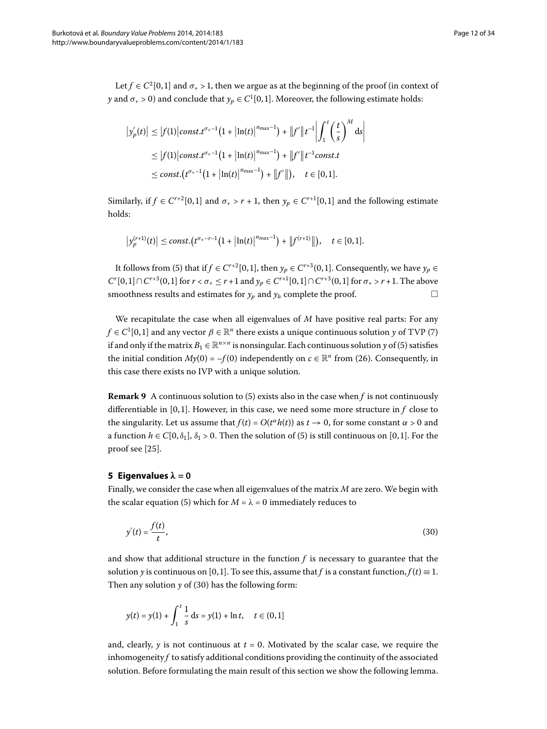Let  $f \in C^2[0,1]$  and  $\sigma_+ > 1$ , then we argue as at the beginning of the proof (in context of *y* and  $\sigma_{+}$  > 0) and conclude that  $y_p \in C^1[0,1]$ . Moreover, the following estimate holds:

$$
\begin{aligned} \left|y'_{p}(t)\right| &\leq \left|f(1)\right| const. t^{\sigma_{+}-1} \left(1+\left|\ln(t)\right|^{\eta_{\max}-1}\right) + \left\|f'\right\|t^{-1}\left|\int_{1}^{t} \left(\frac{t}{s}\right)^{M} \mathrm{d}s\right| \\ &\leq \left|f(1)\right| const. t^{\sigma_{+}-1} \left(1+\left|\ln(t)\right|^{\eta_{\max}-1}\right) + \left\|f'\right\|t^{-1} const. t \\ &\leq const. \left(t^{\sigma_{+}-1} \left(1+\left|\ln(t)\right|^{\eta_{\max}-1}\right) + \left\|f'\right\|\right), \quad t \in [0,1]. \end{aligned}
$$

Similarly, if  $f \in C^{r+2}[0,1]$  and  $\sigma_+ > r + 1$ , then  $y_p \in C^{r+1}[0,1]$  and the following estimate holds:

$$
\left|y_p^{(r+1)}(t)\right| \le \text{const.}\big(t^{\sigma_+ - r - 1}\big(1 + \big|\ln(t)\big|^{\eta_{\max}-1}\big) + \big\|f^{(r+1)}\big\|\big), \quad t \in [0, 1].
$$

It follows from (5[\)](#page-2-2) that if *f* ∈ *C*<sup>*r*+2</sup>[0,1], then  $y_p$  ∈ *C*<sup>*r*+3</sup>(0,1]. Consequently, we have  $y_p$  ∈ *C*<sup>*r*</sup>[0,1] ∩ *C*<sup>*r*+3</sup>(0,1] for *r* < *σ*<sub>+</sub> ≤ *r* + 1 and *y<sub>p</sub>* ∈ *C*<sup>*r*+1</sup>[0,1] ∩ *C*<sup>*r*+3</sup>(0,1] for *σ*<sub>+</sub> > *r* + 1. The above smoothness results and estimates for  $y_p$  and  $y_h$  complete the proof.  $\Box$ 

We recapitulate the case when all eigenvalues of *M* have positive real parts: For any  $f \in C^1[0,1]$  and any vector  $\beta \in \mathbb{R}^n$  there exists a unique continuous solution *y* of TVP [\(](#page-2-5)7) if and only if the matrix  $B_1 \in \mathbb{R}^{n \times n}$  is nonsingular. Each continuous solution *y* of (5[\)](#page-2-2) satisfies the initial condition  $My(0) = -f(0)$  independently on  $c \in \mathbb{R}^n$  from (26). Consequently, in this case there exists no IVP with a unique solution.

<span id="page-11-0"></span>**Remark 9** A continuous solution to [\(](#page-2-2)5) exists also in the case when  $f$  is not continuously differentiable in  $[0, 1]$ . However, in this case, we need some more structure in  $f$  close to the singularity. Let us assume that  $f(t) = O(t^{\alpha}h(t))$  as  $t \to 0$ , for some constant  $\alpha > 0$  and a function  $h \in C[0, \delta_1], \delta_1 > 0$ . Then the solution of (5[\)](#page-2-2) is still continuous on [0,1]. For the proof see  $[25]$ .

#### **5 Eigenvalues**  $\lambda = 0$

Finally, we consider the case when all eigenvalues of the matrix *M* are zero. We begin with the scalar equation (5) which for  $M = \lambda = 0$  immediately reduces to

<span id="page-11-1"></span>
$$
y'(t) = \frac{f(t)}{t},\tag{30}
$$

and show that additional structure in the function  $f$  is necessary to guarantee that the solution *y* is continuous on [0,1]. To see this, assume that *f* is a constant function,  $f(t) \equiv 1$ . Then any solution  $y$  of (30) has the following form:

$$
y(t) = y(1) + \int_1^t \frac{1}{s} \, ds = y(1) + \ln t, \quad t \in (0, 1]
$$

and, clearly,  $\gamma$  is not continuous at  $t = 0$ . Motivated by the scalar case, we require the inhomogeneity *f* to satisfy additional conditions providing the continuity of the associated solution. Before formulating the main result of this section we show the following lemma.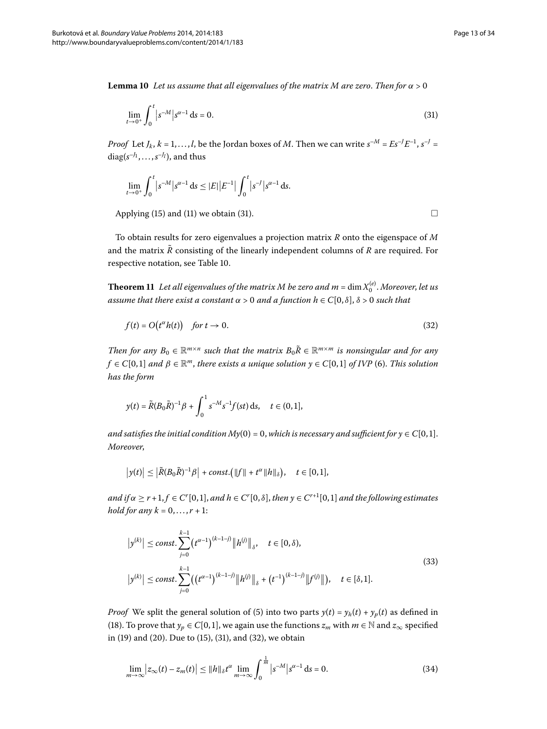**Lemma 10** Let us assume that all eigenvalues of the matrix M are zero. Then for  $\alpha > 0$ 

$$
\lim_{t \to 0^+} \int_0^t |s^{-M}| s^{\alpha - 1} ds = 0.
$$
\n(31)

*Proof* Let  $J_k$ ,  $k = 1, \ldots, l$ , be the Jordan boxes of  $M$ . Then we can write  $s^{-M} = E s^{-1} E^{-1}$ ,  $s^{-1} =$  $\mathrm{diag}(s^{-J_1},\ldots,s^{-J_l}),$  and thus

$$
\lim_{t \to 0^+} \int_0^t |s^{-M}| s^{\alpha - 1} \, \mathrm{d} s \le |E| \, |E^{-1}| \int_0^t |s^{-1}| s^{\alpha - 1} \, \mathrm{d} s.
$$

<span id="page-12-0"></span>Applying [\(](#page-4-2)15) and (11) we obtain (31).  $\Box$ 

To obtain results for zero eigenvalues a projection matrix *R* onto the eigenspace of *M* and the matrix  $\bar{R}$  consisting of the linearly independent columns of  $R$  are required. For respective notation, see Table 10[.](#page-31-0)

**Theorem 11** Let all eigenvalues of the matrix M be zero and  $m$  =  $\dim X_0^{(e)}$  . Moreover, let us *assume that there exist a constant*  $\alpha > 0$  *and a function*  $h \in C[0, \delta]$ ,  $\delta > 0$  *such that* 

$$
f(t) = O(t^{\alpha}h(t)) \quad \text{for } t \to 0. \tag{32}
$$

*Then for any*  $B_0 \in \mathbb{R}^{m \times n}$  *such that the matrix*  $B_0 \tilde{R} \in \mathbb{R}^{m \times m}$  *is nonsingular and for any*  $f \in C[0,1]$  *and*  $\beta \in \mathbb{R}^m$ , *there exists a unique solution*  $y \in C[0,1]$  *of IVP* [\(](#page-2-4)6). *This solution has the form*

$$
y(t) = \tilde{R}(B_0\tilde{R})^{-1}\beta + \int_0^1 s^{-M} s^{-1} f(st) \, ds, \quad t \in (0,1],
$$

*and satisfies the initial condition My*(0) = 0, *which is necessary and sufficient for*  $y \in C[0,1]$ . *Moreover*,

<span id="page-12-3"></span>
$$
\left|y(t)\right| \leq \left|\tilde{R}(B_0\tilde{R})^{-1}\beta\right| + const. \big(\|f\| + t^{\alpha}\|h\|_{\delta}\big), \quad t \in [0,1],
$$

*and if*  $\alpha \ge r + 1, f \in C^r[0, 1]$ , and  $h \in C^r[0, \delta]$ , then  $y \in C^{r+1}[0, 1]$  and the following estimates *hold for any*  $k = 0, ..., r + 1$ :

$$
|y^{(k)}| \le \text{const.} \sum_{j=0}^{k-1} (t^{\alpha-1})^{(k-1-j)} \|h^{(j)}\|_{\delta}, \quad t \in [0, \delta),
$$
  

$$
|y^{(k)}| \le \text{const.} \sum_{j=0}^{k-1} ((t^{\alpha-1})^{(k-1-j)} \|h^{(j)}\|_{\delta} + (t^{-1})^{(k-1-j)} \|f^{(j)}\|), \quad t \in [\delta, 1].
$$
 (33)

<span id="page-12-4"></span>*Proof* We split the general solution of (5[\)](#page-2-2) into two parts  $y(t) = y_h(t) + y_p(t)$  as defined in (18[\)](#page-6-1). To prove that  $y_p \in C[0,1]$ , we again use the functions  $z_m$  with  $m \in \mathbb{N}$  and  $z_\infty$  specified in [\(](#page-12-1)19[\)](#page-12-2) and (20). Due to (15), (31), and (32), we obtain

$$
\lim_{m \to \infty} |z_{\infty}(t) - z_m(t)| \le ||h||_{\delta} t^{\alpha} \lim_{m \to \infty} \int_0^{\frac{1}{m}} |s^{-M}| s^{\alpha - 1} ds = 0.
$$
 (34)

<span id="page-12-2"></span><span id="page-12-1"></span>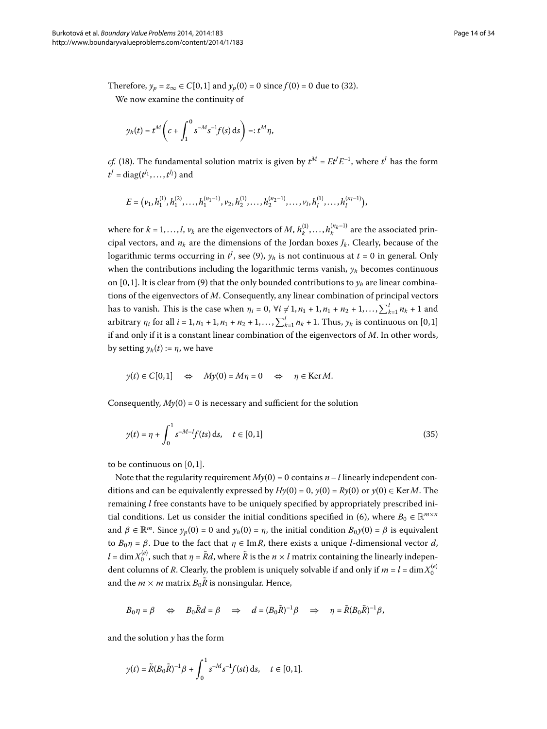Therefore,  $y_p = z_\infty \in C[0,1]$  and  $y_p(0) = 0$  $y_p(0) = 0$  $y_p(0) = 0$  since  $f(0) = 0$  due to (32).

We now examine the continuity of

$$
y_h(t) = t^M \left( c + \int_1^0 s^{-M} s^{-1} f(s) \, ds \right) =: t^M \eta,
$$

*cf.* [\(](#page-6-1)18). The fundamental solution matrix is given by  $t^M = E t^f E^{-1}$ , where  $t^f$  has the form  $t^J = \text{diag}(t^{J_1}, \ldots, t^{J_l})$  and

$$
E=\big(v_1, h^{(1)}_1, h^{(2)}_1, \ldots, h^{(n_1-1)}_1, v_2, h^{(1)}_2, \ldots, h^{(n_2-1)}_2, \ldots, v_l, h^{(1)}_l, \ldots, h^{(n_l-1)}_l\big),
$$

where for  $k = 1, ..., l$ ,  $v_k$  are the eigenvectors of M,  $h_k^{(1)}, ..., h_k^{(n_k-1)}$  are the associated principal vectors, and  $n_k$  are the dimensions of the Jordan boxes  $J_k$ . Clearly, because of the logarithmic terms occurring in  $t^J$ , see (9[\)](#page-3-0),  $y_h$  is not continuous at  $t$  = 0 in general. Only when the contributions including the logarithmic terms vanish,  $y_h$  becomes continuous on [0, 1]. It is clear from [\(](#page-3-0)9) that the only bounded contributions to  $y_h$  are linear combinations of the eigenvectors of *M*. Consequently, any linear combination of principal vectors has to vanish. This is the case when  $\eta_i = 0$ ,  $\forall i \neq 1, n_1 + 1, n_1 + n_2 + 1, ..., \sum_{k=1}^{l} n_k + 1$  and arbitrary  $\eta_i$  for all  $i = 1, n_1 + 1, n_1 + n_2 + 1, ..., \sum_{k=1}^{l} n_k + 1$ . Thus,  $y_h$  is continuous on [0,1] if and only if it is a constant linear combination of the eigenvectors of *M*. In other words, by setting  $y_h(t) := \eta$ , we have

<span id="page-13-0"></span>
$$
y(t) \in C[0,1] \iff My(0) = M\eta = 0 \iff \eta \in \text{Ker }M.
$$

Consequently,  $My(0) = 0$  is necessary and sufficient for the solution

$$
y(t) = \eta + \int_0^1 s^{-M-l} f(ts) \, ds, \quad t \in [0,1]
$$
\n(35)

to be continuous on  $[0, 1]$ .

Note that the regularity requirement  $My(0) = 0$  contains  $n - l$  linearly independent conditions and can be equivalently expressed by  $Hy(0) = 0$ ,  $y(0) = Ry(0)$  or  $y(0) \in \text{Ker }M$ . The remaining *l* free constants have to be uniquely specified by appropriately prescribed initial conditions. Let us consider the initial conditions specified in (6), where  $B_0 \in \mathbb{R}^{m \times n}$ and  $\beta \in \mathbb{R}^m$ . Since  $y_p(0) = 0$  and  $y_h(0) = \eta$ , the initial condition  $B_0y(0) = \beta$  is equivalent to *Bη* = *β*. Due to the fact that *η* ∈ Im*R*, there exists a unique *l*-dimensional vector *d*,  $l = \dim X_0^{(e)}$ , such that  $\eta = \tilde{R}d$ , where  $\tilde{R}$  is the  $n \times l$  matrix containing the linearly independent columns of *R*. Clearly, the problem is uniquely solvable if and only if  $m = l = \dim X_0^{(e)}$ and the  $m \times m$  matrix  $B_0 \tilde{R}$  is nonsingular. Hence,

$$
B_0 \eta = \beta \quad \Leftrightarrow \quad B_0 \tilde{R} d = \beta \quad \Rightarrow \quad d = (B_0 \tilde{R})^{-1} \beta \quad \Rightarrow \quad \eta = \tilde{R} (B_0 \tilde{R})^{-1} \beta,
$$

and the solution *y* has the form

$$
y(t) = \tilde{R}(B_0\tilde{R})^{-1}\beta + \int_0^1 s^{-M} s^{-1} f(st) \, ds, \quad t \in [0,1].
$$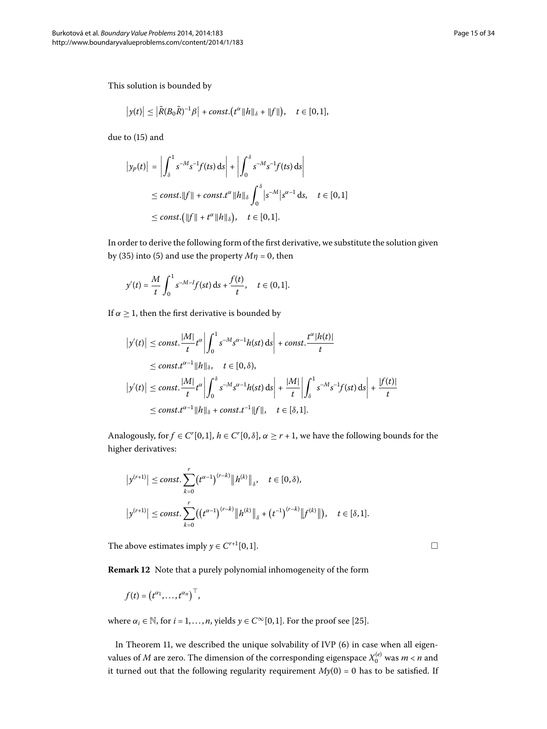This solution is bounded by

$$
\left|y(t)\right| \leq \left|\tilde{R}(B_0\tilde{R})^{-1}\beta\right| + const.\left(t^{\alpha}\|h\|_{\delta} + \|f\|\right), \quad t \in [0,1],
$$

due to  $(15)$  $(15)$  and

$$
\begin{aligned} \left| y_p(t) \right| &= \left| \int_{\delta}^{1} s^{-M} s^{-1} f(ts) \, \mathrm{d}s \right| + \left| \int_{0}^{\delta} s^{-M} s^{-1} f(ts) \, \mathrm{d}s \right| \\ &\le \text{const.} \|f\| + \text{const.} t^{\alpha} \|h\|_{\delta} \int_{0}^{\delta} |s^{-M}| s^{\alpha-1} \, \mathrm{d}s, \quad t \in [0,1] \\ &\le \text{const.} \big( \|f\| + t^{\alpha} \|h\|_{\delta} \big), \quad t \in [0,1]. \end{aligned}
$$

In order to derive the following form of the first derivative, we substitute the solution given by (35[\)](#page-2-2) into (5) and use the property  $M\eta = 0$ , then

$$
y'(t) = \frac{M}{t} \int_0^1 s^{-M-1} f(st) \, ds + \frac{f(t)}{t}, \quad t \in (0,1].
$$

If  $\alpha \geq 1$ , then the first derivative is bounded by

$$
\begin{aligned} \left|y'(t)\right| &\leq \text{const.} \frac{|M|}{t} t^{\alpha} \left| \int_0^1 s^{-M} s^{\alpha-1} h(st) \, \mathrm{d}s \right| + \text{const.} \frac{t^{\alpha} |h(t)|}{t} \\ &\leq \text{const.} t^{\alpha-1} \|h\|_{\delta}, \quad t \in [0, \delta), \\ \left|y'(t)\right| &\leq \text{const.} \frac{|M|}{t} t^{\alpha} \left| \int_0^{\delta} s^{-M} s^{\alpha-1} h(st) \, \mathrm{d}s \right| + \frac{|M|}{t} \left| \int_s^1 s^{-M} s^{-1} f(st) \, \mathrm{d}s \right| + \frac{|f(t)|}{t} \\ &\leq \text{const.} t^{\alpha-1} \|h\|_{\delta} + \text{const.} t^{-1} \|f\|, \quad t \in [\delta, 1]. \end{aligned}
$$

Analogously, for  $f \in C^r[0,1]$ ,  $h \in C^r[0,\delta]$ ,  $\alpha \geq r + 1$ , we have the following bounds for the higher derivatives:

<span id="page-14-0"></span>
$$
|y^{(r+1)}| \le \text{const.} \sum_{k=0}^r (t^{\alpha-1})^{(r-k)} \|h^{(k)}\|_{\delta}, \quad t \in [0, \delta),
$$
  

$$
|y^{(r+1)}| \le \text{const.} \sum_{k=0}^r ((t^{\alpha-1})^{(r-k)} \|h^{(k)}\|_{\delta} + (t^{-1})^{(r-k)} \|f^{(k)}\|), \quad t \in [\delta, 1].
$$

The above estimates imply  $y \in C^{r+1}[0,1]$ .

**Remark 12** Note that a purely polynomial inhomogeneity of the form

$$
f(t) = (t^{\alpha_1}, \ldots, t^{\alpha_n})^{\top},
$$

where  $\alpha_i \in \mathbb{N}$ , for  $i = 1, ..., n$ , yields  $\gamma \in C^\infty[0, 1]$  $\gamma \in C^\infty[0, 1]$  $\gamma \in C^\infty[0, 1]$ . For the proof see [25].

In Theorem 11, we described the unique solvability of IVP (6) in case when all eigenvalues of  $M$  are zero. The dimension of the corresponding eigenspace  $X_0^{(e)}$  was  $m$  <  $n$  and it turned out that the following regularity requirement  $My(0) = 0$  has to be satisfied. If

 $\Box$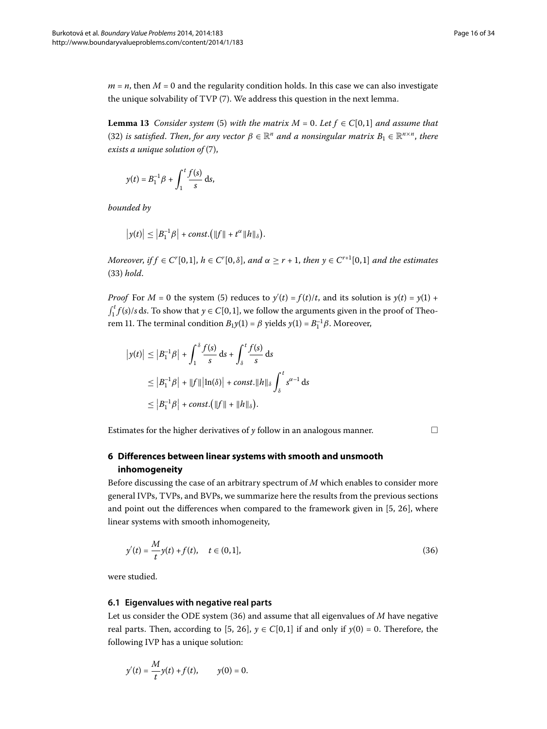<span id="page-15-2"></span> $m = n$ , then  $M = 0$  and the regularity condition holds. In this case we can also investigate the unique solvability of TVP  $(7)$ . We address this question in the next lemma.

**Lemma 13** Consider system [\(](#page-2-2)5) with the matrix  $M = 0$ . Let  $f \in C[0,1]$  and assume that (32[\)](#page-12-2) *is satisfied. Then, for any vector*  $\beta \in \mathbb{R}^n$  *and a nonsingular matrix*  $B_1 \in \mathbb{R}^{n \times n}$ *, there*  $exists a unique solution of (7),$  $exists a unique solution of (7),$  $exists a unique solution of (7),$ 

$$
y(t) = B_1^{-1} \beta + \int_1^t \frac{f(s)}{s} ds,
$$

*bounded by*

$$
|y(t)| \leq |B_1^{-1}\beta| + const. (||f|| + t^{\alpha}||h||_{\delta}).
$$

*Moreover, if*  $f \in C^r[0,1]$ ,  $h \in C^r[0,\delta]$ , and  $\alpha \geq r + 1$ , then  $y \in C^{r+1}[0,1]$  and the estimates ([\)](#page-12-3) *hold*.

*Proof* For  $M = 0$  the system (5) reduces to  $y'(t) = f(t)/t$ , and its solution is  $y(t) = y(1) +$  $\int_1^t f(s)/s \, ds$ . To show that  $y \in C[0, 1]$ , we follow the arguments given in the proof of Theorem 11. The terminal condition  $B_1y(1) = \beta$  yields  $y(1) = B_1^{-1}\beta$ . Moreover,

$$
|y(t)| \le |B_1^{-1}\beta| + \int_1^{\delta} \frac{f(s)}{s} ds + \int_{\delta}^t \frac{f(s)}{s} ds
$$
  
\n
$$
\le |B_1^{-1}\beta| + ||f|| \, |\ln(\delta)| + const. ||h||_{\delta} \int_{\delta}^t s^{\alpha - 1} ds
$$
  
\n
$$
\le |B_1^{-1}\beta| + const. (||f|| + ||h||_{\delta}).
$$

<span id="page-15-0"></span>Estimates for the higher derivatives of *y* follow in an analogous manner. -

 $\Box$ 

## <span id="page-15-1"></span>**6 Differences between linear systems with smooth and unsmooth inhomogeneity**

Before discussing the case of an arbitrary spectrum of *M* which enables to consider more general IVPs, TVPs, and BVPs, we summarize here the results from the previous sections and point out the differences when compared to the framework given in  $[5, 26]$  $[5, 26]$  $[5, 26]$ , where linear systems with smooth inhomogeneity,

$$
y'(t) = \frac{M}{t}y(t) + f(t), \quad t \in (0, 1],
$$
\n(36)

were studied.

#### **6.1 Eigenvalues with negative real parts**

Let us consider the ODE system  $(36)$  and assume that all eigenvalues of  $M$  have negative real parts. Then[,](#page-32-4) according to [5, 26],  $y \in C[0, 1]$  if and only if  $y(0) = 0$ . Therefore, the following IVP has a unique solution:

$$
y'(t) = \frac{M}{t}y(t) + f(t),
$$
  $y(0) = 0.$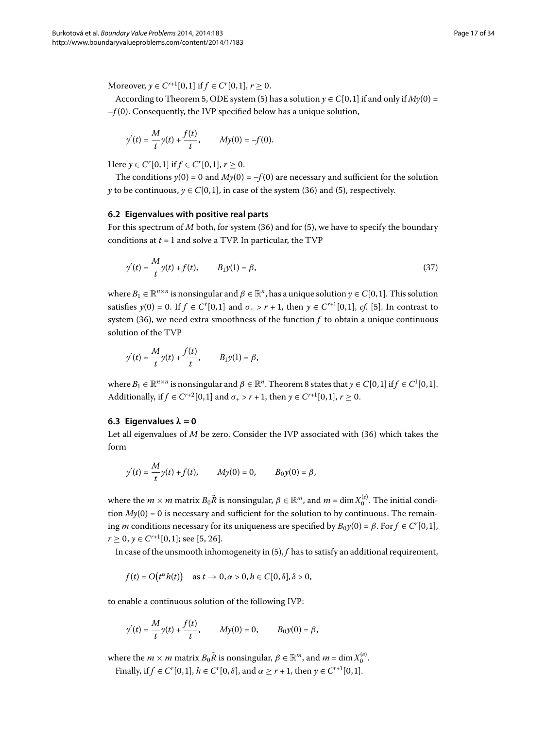Moreover,  $y \in C^{r+1}[0,1]$  if  $f \in C^{r}[0,1]$ ,  $r \ge 0$ .

According to Theorem 5, ODE system (5[\)](#page-2-2) has a solution  $y \in C[0,1]$  if and only if  $My(0)$  = –*f* (). Consequently, the IVP specified below has a unique solution,

$$
y'(t) = \frac{M}{t}y(t) + \frac{f(t)}{t}, \qquad My(0) = -f(0).
$$

Here  $y \in C^r[0,1]$  if  $f \in C^r[0,1]$ ,  $r \ge 0$ .

<span id="page-16-0"></span>The conditions  $y(0) = 0$  and  $My(0) = -f(0)$  are necessary and sufficient for the solution *y* to be continuous,  $y \in C[0, 1]$ , in case of the system [\(](#page-15-1)36) and (5), respectively.

#### **6.2 Eigenvalues with positive real parts**

For this spectrum of *M* both, for system [\(](#page-2-2)36) and for (5), we have to specify the boundary conditions at  $t = 1$  and solve a TVP. In particular, the TVP

$$
y'(t) = \frac{M}{t}y(t) + f(t), \qquad B_1y(1) = \beta,
$$
\n(37)

where  $B_1 \in \mathbb{R}^{n \times n}$  is nonsingular and  $\beta \in \mathbb{R}^n$ , has a unique solution  $\gamma \in C[0,1]$ . This solution satisfies  $y(0) = 0$ . If  $f \in C^{r}[0,1]$  $f \in C^{r}[0,1]$  and  $\sigma_{+} > r + 1$ , then  $y \in C^{r+1}[0,1]$ , *cf.* [5]. In contrast to system  $(36)$  $(36)$ , we need extra smoothness of the function  $f$  to obtain a unique continuous solution of the TVP

$$
y'(t) = \frac{M}{t}y(t) + \frac{f(t)}{t},
$$
  $B_1y(1) = \beta,$ 

where  $B_1 \in \mathbb{R}^{n \times n}$  is nonsingular and  $\beta \in \mathbb{R}^n$ . Theorem 8 states that  $y \in C[0,1]$  if  $f \in C^1[0,1]$ . Additionally, if  $f \in C^{r+2}[0,1]$  and  $\sigma_+ > r + 1$ , then  $y \in C^{r+1}[0,1]$ ,  $r \ge 0$ .

#### **6.3 Eigenvalues**  $\lambda = 0$

Let all eigenvalues of *M* be zero. Consider the IVP associated with (36) which takes the form

$$
y'(t) = \frac{M}{t}y(t) + f(t), \qquad My(0) = 0, \qquad B_0y(0) = \beta,
$$

where the  $m \times m$  matrix  $B_0 \tilde{R}$  is nonsingular,  $\beta \in \mathbb{R}^m$ , and  $m = \dim X_0^{(e)}$ . The initial condition  $My(0) = 0$  is necessary and sufficient for the solution to by continuous. The remaining *m* conditions necessary for its uniqueness are specified by  $B_0y(0) = \beta$ . For  $f \in C^r[0,1]$ ,  $r > 0$ ,  $\gamma \in C^{r+1}[0,1]$  $\gamma \in C^{r+1}[0,1]$  $\gamma \in C^{r+1}[0,1]$ ; see [5, 26].

In case of the unsmooth inhomogeneity in  $(5)$  $(5)$ ,  $f$  has to satisfy an additional requirement,

$$
f(t) = O(t^{\alpha}h(t)) \quad \text{as } t \to 0, \alpha > 0, h \in C[0, \delta], \delta > 0,
$$

to enable a continuous solution of the following IVP:

$$
y'(t)=\frac{M}{t}y(t)+\frac{f(t)}{t},\qquad My(0)=0,\qquad B_0y(0)=\beta,
$$

where the  $m \times m$  matrix  $B_0 \tilde{R}$  is nonsingular,  $\beta \in \mathbb{R}^m$ , and  $m = \dim X_0^{(e)}$ .

Finally, if  $f \in C^r[0,1]$ ,  $h \in C^r[0, \delta]$ , and  $\alpha \ge r + 1$ , then  $y \in C^{r+1}[0,1]$ .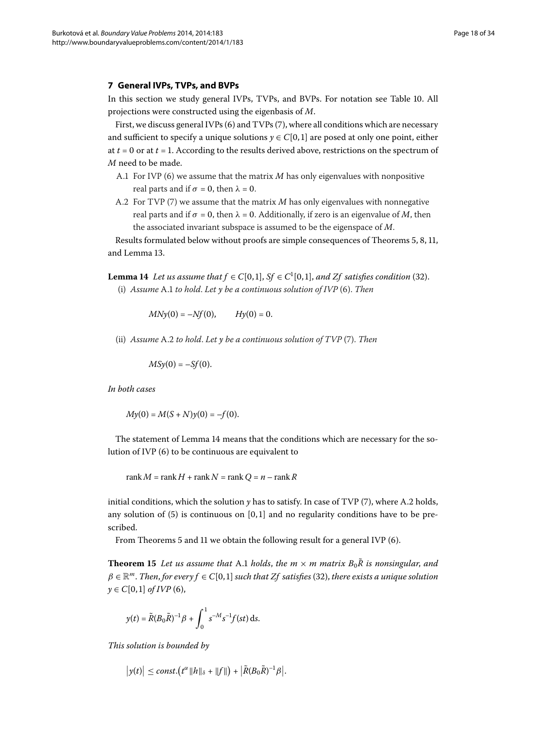#### <span id="page-17-0"></span>**7 General IVPs, TVPs, and BVPs**

In this section we study general IVPs, TVPs, and BVPs[.](#page-31-0) For notation see Table 10. All projections were constructed using the eigenbasis of *M*.

First, we discuss general IVPs  $(6)$  $(6)$  and TVPs  $(7)$ , where all conditions which are necessary and sufficient to specify a unique solutions  $y \in C[0, 1]$  are posed at only one point, either at  $t = 0$  or at  $t = 1$ . According to the results derived above, restrictions on the spectrum of *M* need to be made.

- A.1 For IVP (6[\)](#page-2-4) we assume that the matrix *M* has only eigenvalues with nonpositive real parts and if  $\sigma = 0$ , then  $\lambda = 0$ .
- <span id="page-17-1"></span>A.2 For TVP (7) we assume that the matrix *M* has only eigenvalues with nonnegative real parts and if  $\sigma = 0$ , then  $\lambda = 0$ . Additionally, if zero is an eigenvalue of *M*, then the associated invariant subspace is assumed to be the eigenspace of *M*.

Results formulated below without proofs are simple consequences of Theorems 5[,](#page-8-0) 8, 11, and Lemma 13.

**Lemma 14** Let us assume that  $f \in C[0,1]$ ,  $Sf \in C^1[0,1]$ , and  $Zf$  satisfies condition (32). (i) *Assume* A. *to hold*. *Let y be a continuous solution of IVP* [\(\)](#page-2-4). *Then*

 $MNy(0) = -Nf(0),$  *Hy*(0) = 0.

(ii[\)](#page-2-5) *Assume* A.2 to hold. Let *y* be a continuous solution of TVP (7). Then

 $MSy(0) = -Sf(0)$ .

*In both cases*

 $My(0) = M(S + N)y(0) = -f(0).$ 

The statement of Lemma 14 means that the conditions which are necessary for the solution of IVP  $(6)$  to be continuous are equivalent to

rank  $M = \text{rank } H + \text{rank } N = \text{rank } Q = n - \text{rank } R$ 

<span id="page-17-2"></span>initial conditions, which the solution  $\gamma$  has to satisfy. In case of TVP [\(](#page-2-5)7), where A.2 holds, any solution of  $(5)$  is continuous on  $[0, 1]$  and no regularity conditions have to be prescribed.

From Theorems 5 and 11 we obtain the following result for a general IVP  $(6)$ .

**Theorem 15** Let us assume that A.1 holds, the  $m \times m$  matrix  $B_0R$  is nonsingular, and  $\beta \in \mathbb{R}^m$ . Then, for every  $f \in C[0,1]$  such that Zf satisfies (32[\)](#page-12-2), there exists a unique solution *y* ∈  $C[0, 1]$  *of IVP* (6[\)](#page-2-4),

$$
y(t) = \tilde{R}(B_0 \tilde{R})^{-1} \beta + \int_0^1 s^{-M} s^{-1} f(st) \, ds.
$$

*This solution is bounded by*

$$
\big|y(t)\big|\leq const.\big(t^{\alpha}\|h\|_{\delta}+\|f\|\big)+\big|\tilde{R}(B_0\tilde{R})^{-1}\beta\big|.
$$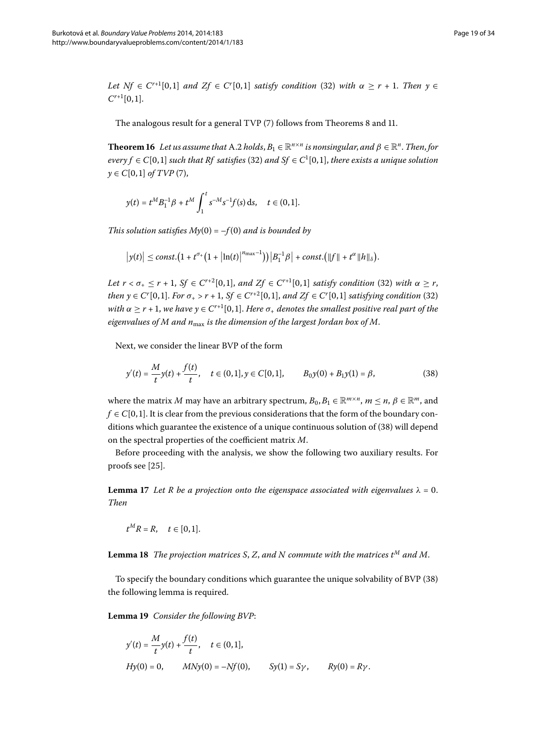*Let*  $Nf \in C^{r+1}[0,1]$  *and*  $Zf \in C^{r}[0,1]$  *satisfy condition* [\(](#page-12-2)32) *with*  $\alpha \geq r + 1$ . *Then*  $y \in C$  $C^{r+1}[0,1].$ 

The analogous result for a general TVP  $(7)$  $(7)$  follows from Theorems 8 and 11[.](#page-12-0)

**Theorem 16** Let us assume that A.2 holds,  $B_1 \in \mathbb{R}^{n \times n}$  is nonsingular, and  $\beta \in \mathbb{R}^n$ . Then, for  $every f \in C[0, 1]$  such that Rf satisfies (32) and  $Sf \in C^1[0, 1]$ , there exists a unique solution  $y \in C[0,1]$  *of TVP* (7[\)](#page-2-5),

$$
y(t) = t^M B_1^{-1} \beta + t^M \int_1^t s^{-M} s^{-1} f(s) \, ds, \quad t \in (0, 1].
$$

*This solution satisfies*  $My(0) = -f(0)$  *and is bounded by* 

$$
|y(t)| \leq const. \big(1 + t^{\sigma_+} \big(1 + |\ln(t)|^{n_{\max}-1}\big)\big) \big|B_1^{-1}\beta\big| + const. \big(\|f\| + t^{\alpha}\|h\|_{\delta}\big).
$$

<span id="page-18-1"></span>*Let*  $r < \sigma_+ \leq r + 1$ ,  $Sf \in C^{r+2}[0,1]$ , and  $Zf \in C^{r+1}[0,1]$  satisfy condition [\(](#page-12-2)32) with  $\alpha \geq r$ , *then*  $y \in C^{r}[0,1]$ *. For*  $\sigma_{+} > r + 1$ *, Sf*  $\in C^{r+2}[0,1]$ *, and Zf*  $\in C^{r}[0,1]$  *satisfying condition* [\(](#page-12-2)32) *with*  $\alpha \geq r + 1$ , *we have*  $y \in C^{r+1}[0,1]$ . *Here*  $\sigma_{+}$  *denotes the smallest positive real part of the eigenvalues of M and n*max *is the dimension of the largest Jordan box of M*.

Next, we consider the linear BVP of the form

$$
y'(t) = \frac{M}{t}y(t) + \frac{f(t)}{t}, \quad t \in (0,1], y \in C[0,1], \qquad B_0y(0) + B_1y(1) = \beta,
$$
\n(38)

where the matrix *M* may have an arbitrary spectrum,  $B_0, B_1 \in \mathbb{R}^{m \times n}$ ,  $m \le n$ ,  $\beta \in \mathbb{R}^m$ , and  $f \in C[0, 1]$ . It is clear from the previous considerations that the form of the boundary con-ditions which guarantee the existence of a unique continuous solution of (38[\)](#page-18-1) will depend on the spectral properties of the coefficient matrix *M*.

Before proceeding with the analysis, we show the following two auxiliary results. For proofs see [\[](#page-33-4)25].

<span id="page-18-0"></span>**Lemma 17** Let R be a projection onto the eigenspace associated with eigenvalues  $\lambda = 0$ . *Then*

 $t^MR = R$ ,  $t \in [0,1].$ 

**Lemma 18** The projection matrices S, Z, and N commute with the matrices  $t^M$  and M.

To specify the boundary conditions which guarantee the unique solvability of BVP (38) the following lemma is required.

Lemma 19 Consider the following BVP:

$$
y'(t) = \frac{M}{t}y(t) + \frac{f(t)}{t}, \quad t \in (0, 1],
$$
  
\n
$$
Hy(0) = 0, \qquad MNy(0) = -Nf(0), \qquad Sy(1) = S\gamma, \qquad Ry(0) = R\gamma.
$$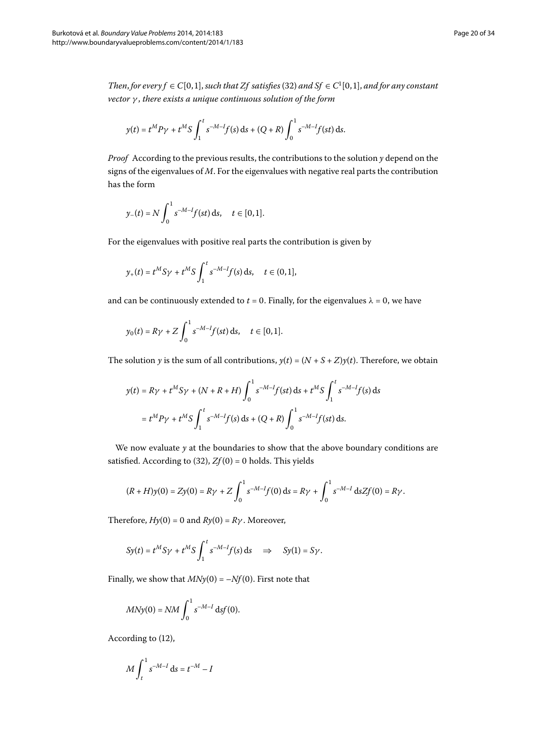*Then, for every*  $f \in C[0, 1]$ *, such that Zf satisfies* [\(](#page-12-2)32) *and Sf*  $\in C^1[0, 1]$ *, and for any constant vector γ* , *there exists a unique continuous solution of the form*

$$
y(t) = t^M P \gamma + t^M S \int_1^t s^{-M-1} f(s) \, ds + (Q+R) \int_0^1 s^{-M-1} f(st) \, ds.
$$

*Proof* According to the previous results, the contributions to the solution *y* depend on the signs of the eigenvalues of *M*. For the eigenvalues with negative real parts the contribution has the form

$$
y_{-}(t) = N \int_0^1 s^{-M-I} f(st) ds, \quad t \in [0,1].
$$

For the eigenvalues with positive real parts the contribution is given by

$$
y_{+}(t) = t^{M} S \gamma + t^{M} S \int_{1}^{t} s^{-M-1} f(s) ds, \quad t \in (0,1],
$$

and can be continuously extended to  $t = 0$ . Finally, for the eigenvalues  $\lambda = 0$ , we have

$$
y_0(t) = R\gamma + Z \int_0^1 s^{-M-I} f(st) ds, \quad t \in [0,1].
$$

The solution *y* is the sum of all contributions,  $y(t) = (N + S + Z)y(t)$ . Therefore, we obtain

$$
y(t) = R\gamma + t^M S \gamma + (N + R + H) \int_0^1 s^{-M - I} f(st) \, ds + t^M S \int_1^t s^{-M - I} f(s) \, ds
$$
  
=  $t^M P \gamma + t^M S \int_1^t s^{-M - I} f(s) \, ds + (Q + R) \int_0^1 s^{-M - I} f(st) \, ds.$ 

We now evaluate  $y$  at the boundaries to show that the above boundary conditions are satisfied. According to (32),  $Zf(0) = 0$  holds. This yields

$$
(R+H)y(0) = Zy(0) = R\gamma + Z \int_0^1 s^{-M-1} f(0) \, ds = R\gamma + \int_0^1 s^{-M-1} \, ds Z f(0) = R\gamma.
$$

Therefore,  $Hy(0) = 0$  and  $Ry(0) = R\gamma$ . Moreover,

$$
Sy(t) = t^M S \gamma + t^M S \int_1^t s^{-M-1} f(s) \, ds \quad \Rightarrow \quad Sy(1) = S \gamma.
$$

Finally, we show that  $MNy(0) = -Nf(0)$ . First note that

$$
MNy(0) = NM \int_0^1 s^{-M-I} \, ds f(0).
$$

According to (12),

$$
M\int_t^1 s^{-M-I} \, \mathrm{d} s = t^{-M} - I
$$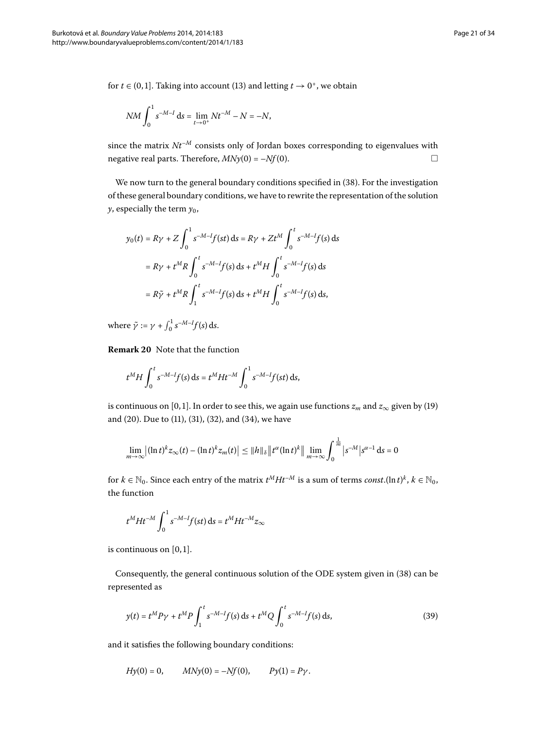for *t*  $\in$  (0,1]. Taking into account (13[\)](#page-4-4) and letting *t*  $\rightarrow$  0<sup>+</sup>, we obtain

$$
NM \int_0^1 s^{-M-I} \, \mathrm{d} s = \lim_{t \to 0^+} N t^{-M} - N = -N,
$$

since the matrix  $Nt^{-M}$  consists only of Jordan boxes corresponding to eigenvalues with negative real parts. Therefore,  $MNy(0) = -Nf(0)$ .

We now turn to the general boundary conditions specified in (38). For the investigation of these general boundary conditions, we have to rewrite the representation of the solution  $\gamma$ , especially the term  $\gamma_0$ ,

$$
y_0(t) = R\gamma + Z \int_0^1 s^{-M-I} f(st) \, ds = R\gamma + Zt^M \int_0^t s^{-M-I} f(s) \, ds
$$
  
=  $R\gamma + t^M R \int_0^t s^{-M-I} f(s) \, ds + t^M H \int_0^t s^{-M-I} f(s) \, ds$   
=  $R\tilde{\gamma} + t^M R \int_1^t s^{-M-I} f(s) \, ds + t^M H \int_0^t s^{-M-I} f(s) \, ds,$ 

where  $\tilde{\gamma} := \gamma + \int_0^1 s^{-M-1} f(s) \, ds.$ 

**Remark 20** Note that the function

$$
t^M H \int_0^t s^{-M-l} f(s) \, ds = t^M H t^{-M} \int_0^1 s^{-M-l} f(st) \, ds,
$$

is continuous on [0,1]. In order to see this, we again use functions  $z_m$  and  $z_\infty$  given by (19) and [\(](#page-12-2)20). Due to (11), (31), (32), and (34), we have

$$
\lim_{m\to\infty}\left|\left(\ln t\right)^k z_{\infty}(t) - \left(\ln t\right)^k z_m(t)\right| \leq \|h\|_{\delta} \left\|t^{\alpha} (\ln t)^k\right\| \lim_{m\to\infty} \int_0^{\frac{1}{m}} \left|s^{-M}\right| s^{\alpha-1} \, \mathrm{d} s = 0
$$

for  $k \in \mathbb{N}_0$ . Since each entry of the matrix  $t^M H t^{-M}$  is a sum of terms *const*.(ln  $t)^k$ ,  $k \in \mathbb{N}_0$ , the function

<span id="page-20-0"></span>
$$
t^M H t^{-M} \int_0^1 s^{-M-I} f(st) \, \mathrm{d} s = t^M H t^{-M} z_{\infty}
$$

is continuous on  $[0, 1]$ .

Consequently, the general continuous solution of the ODE system given in (38[\)](#page-18-1) can be represented as

$$
y(t) = t^M P \gamma + t^M P \int_1^t s^{-M-l} f(s) \, ds + t^M Q \int_0^t s^{-M-l} f(s) \, ds,\tag{39}
$$

and it satisfies the following boundary conditions:

$$
Hy(0) = 0
$$
,  $MNy(0) = -Nf(0)$ ,  $Py(1) = Py$ .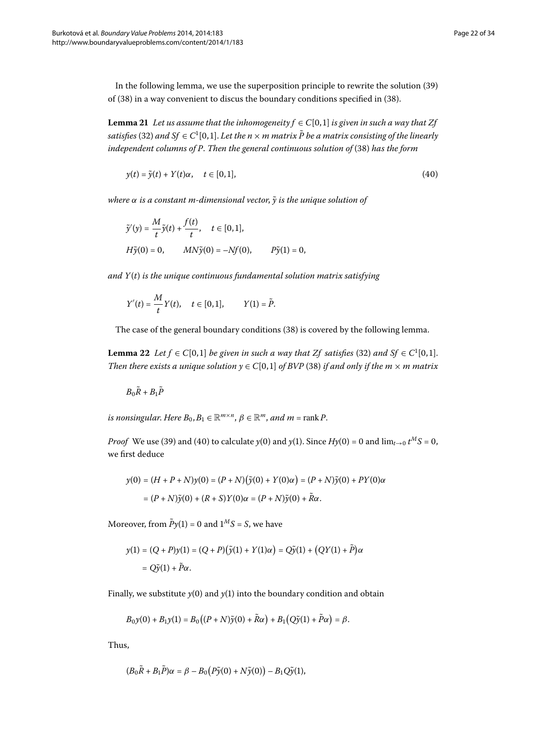In the following lemma, we use the superposition principle to rewrite the solution (39) of  $(38)$  $(38)$  in a way convenient to discus the boundary conditions specified in  $(38)$ .

**Lemma 21** Let us assume that the inhomogeneity  $f \in C[0,1]$  is given in such a way that Zf satisfies (32) and Sf  $\in C^1[0,1]$ . Let the  $n\times m$  matrix  $\tilde{P}$  be a matrix consisting of the linearly *independent columns of P. Then the general continuous solution of* [\(](#page-18-1)38) has the form

<span id="page-21-0"></span>
$$
y(t) = \tilde{y}(t) + Y(t)\alpha, \quad t \in [0,1],
$$
\n(40)

*where*  $\alpha$  *is a constant m-dimensional vector,*  $\tilde{y}$  *is the unique solution of* 

$$
\tilde{y}'(y) = \frac{M}{t}\tilde{y}(t) + \frac{f(t)}{t}, \quad t \in [0, 1],
$$
  
\n
$$
H\tilde{y}(0) = 0, \qquad MN\tilde{y}(0) = -Nf(0), \qquad P\tilde{y}(1) = 0,
$$

*and Y*(*t*) *is the unique continuous fundamental solution matrix satisfying*

$$
Y'(t) = \frac{M}{t}Y(t), \quad t \in [0,1], \qquad Y(1) = \tilde{P}.
$$

The case of the general boundary conditions (38[\)](#page-18-1) is covered by the following lemma.

**Lemma 22** Let  $f \in C[0,1]$  be given in such a way that  $Zf$  satisfies (32[\)](#page-12-2) and  $Sf \in C^1[0,1]$ . *Then there exists a unique solution*  $y \in C[0, 1]$  *of BVP* [\(](#page-18-1)38) *if and only if the m*  $\times$  *m matrix* 

$$
B_0\tilde{R} + B_1\tilde{P}
$$

*is nonsingular. Here*  $B_0, B_1 \in \mathbb{R}^{m \times n}$ ,  $\beta \in \mathbb{R}^m$ , and  $m = \text{rank } P$ .

*Proof* We use (39[\)](#page-20-0) and [\(](#page-21-0)40) to calculate  $y(0)$  and  $y(1)$ . Since  $Hy(0) = 0$  and  $\lim_{t\to 0} t^M S = 0$ , we first deduce

$$
y(0) = (H + P + N)y(0) = (P + N)(\tilde{y}(0) + Y(0)\alpha) = (P + N)\tilde{y}(0) + PY(0)\alpha
$$
  
= (P + N)\tilde{y}(0) + (R + S)Y(0)\alpha = (P + N)\tilde{y}(0) + \tilde{R}\alpha.

Moreover, from  $\tilde{P}y(1) = 0$  and  $1^M S = S$ , we have

$$
y(1) = (Q + P)y(1) = (Q + P)(\tilde{y}(1) + Y(1)\alpha) = Q\tilde{y}(1) + (QY(1) + \tilde{P})\alpha
$$
  
= Q\tilde{y}(1) + \tilde{P}\alpha.

Finally, we substitute  $y(0)$  and  $y(1)$  into the boundary condition and obtain

$$
B_0 y(0) + B_1 y(1) = B_0 ((P + N) \tilde{y}(0) + \tilde{R}\alpha) + B_1 (Q\tilde{y}(1) + \tilde{P}\alpha) = \beta.
$$

Thus,

$$
(B_0\tilde{R}+B_1\tilde{P})\alpha=\beta-B_0\big(P\tilde{y}(0)+N\tilde{y}(0)\big)-B_1Q\tilde{y}(1),
$$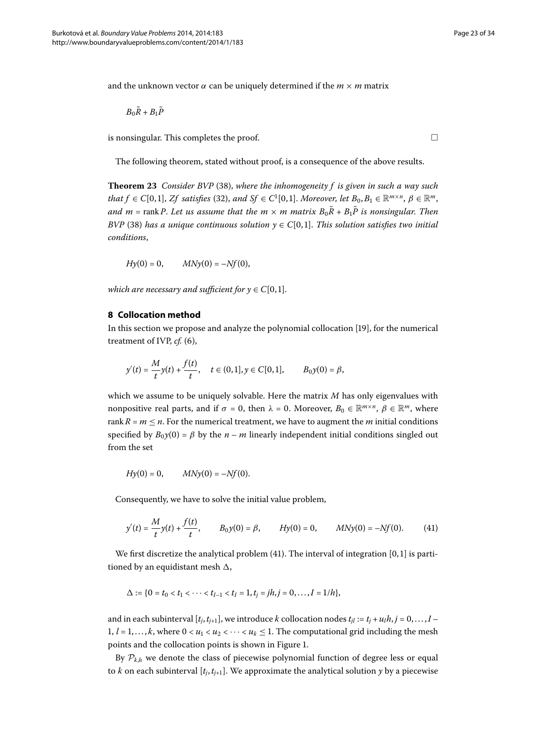and the unknown vector  $\alpha$  can be uniquely determined if the  $m \times m$  matrix

$$
B_0\tilde{R}+B_1\tilde{P}
$$

is nonsingular. This completes the proof.  $\Box$ 

The following theorem, stated without proof, is a consequence of the above results.

<span id="page-22-0"></span>**Theorem 23** Consider BVP (38[\)](#page-18-1), where the inhomogeneity f is given in such a way such  $that f \in C[0,1], Zf$  satisfies [\(](#page-12-2)32), and  $Sf \in C^1[0,1]$ . Moreover, let  $B_0, B_1 \in \mathbb{R}^{m \times n}$ ,  $\beta \in \mathbb{R}^m$ , *and*  $m = \text{rank } P$ . Let us assume that the  $m \times m$  matrix  $B_0\tilde{R} + B_1\tilde{P}$  is nonsingular. Then *BVP* (38[\)](#page-18-1) has a unique continuous solution  $y \in C[0,1]$ . This solution satisfies two initial *conditions*,

$$
Hy(0) = 0
$$
,  $MNy(0) = -Nf(0)$ ,

*which are necessary and sufficient for*  $y \in C[0,1]$ *.* 

#### **8 Collocation method**

In this section we propose and analyze the polynomial collocation [\[](#page-32-12)19], for the numerical treatment of IVP, *cf.* (6),

$$
y'(t) = \frac{M}{t}y(t) + \frac{f(t)}{t}, \quad t \in (0,1], y \in C[0,1], \qquad B_0 y(0) = \beta,
$$

<span id="page-22-1"></span>which we assume to be uniquely solvable. Here the matrix *M* has only eigenvalues with nonpositive real parts, and if  $\sigma = 0$ , then  $\lambda = 0$ . Moreover,  $B_0 \in \mathbb{R}^{m \times n}$ ,  $\beta \in \mathbb{R}^m$ , where rank  $R = m \le n$ . For the numerical treatment, we have to augment the *m* initial conditions specified by  $B_0y(0) = \beta$  by the  $n - m$  linearly independent initial conditions singled out from the set

$$
Hy(0) = 0,
$$
  $MNy(0) = -Nf(0).$ 

Consequently, we have to solve the initial value problem,

$$
y'(t) = \frac{M}{t}y(t) + \frac{f(t)}{t}, \qquad B_0y(0) = \beta, \qquad Hy(0) = 0, \qquad MNy(0) = -Nf(0). \tag{41}
$$

We first discretize the analytical problem  $(41)$ . The interval of integration  $[0, 1]$  is partitioned by an equidistant mesh ,

$$
\Delta := \{0 = t_0 < t_1 < \cdots < t_{I-1} < t_I = 1, t_j = jh, j = 0, \ldots, I = 1/h\},\
$$

and in each subinterval  $[t_j, t_{j+1}]$ , we introduce *k* collocation nodes  $t_{jl} := t_j + u_l h, j = 0, \ldots, I -$ 1,  $l = 1, \ldots, k$ , where  $0 < u_1 < u_2 < \cdots < u_k \leq 1$ . The computational grid including the mesh points and the collocation points is shown in Figure 1[.](#page-23-0)

By  $P_{k,h}$  we denote the class of piecewise polynomial function of degree less or equal to *k* on each subinterval  $[t_j, t_{j+1}]$ . We approximate the analytical solution *y* by a piecewise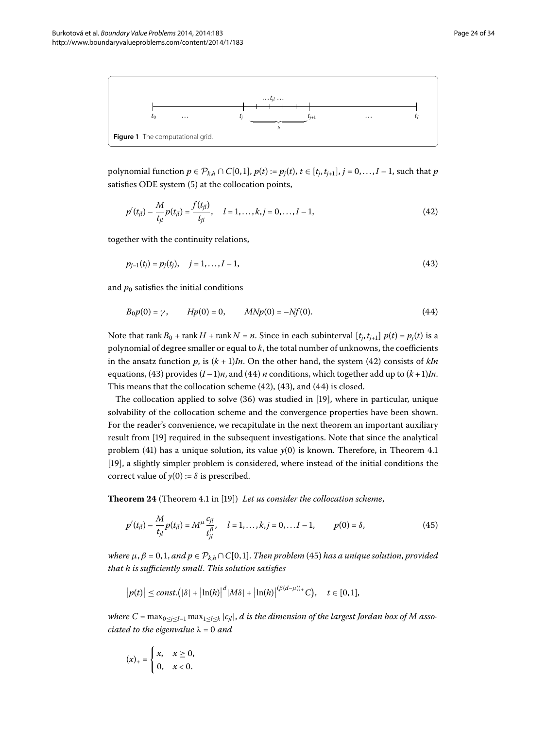<span id="page-23-0"></span>

*polynomial function*  $p ∈ P_{k,h} ∩ C[0,1], p(t) := p_j(t), t ∈ [t_j, t_{j+1}], j = 0, ..., I − 1$ *, such that <i>p* satisfies ODE system (5) at the collocation points,

<span id="page-23-2"></span><span id="page-23-1"></span>
$$
p'(t_{jl}) - \frac{M}{t_{jl}} p(t_{jl}) = \frac{f(t_{jl})}{t_{jl}}, \quad l = 1, ..., k, j = 0, ..., I - 1,
$$
\n(42)

<span id="page-23-3"></span>together with the continuity relations,

$$
p_{j-1}(t_j) = p_j(t_j), \quad j = 1, \dots, I-1,
$$
\n(43)

and  $p_0$  satisfies the initial conditions

$$
B_0 p(0) = \gamma, \qquad H p(0) = 0, \qquad M N p(0) = -N f(0). \tag{44}
$$

Note that rank  $B_0$  + rank  $H$  + rank  $N = n$ . Since in each subinterval  $[t_j, t_{j+1}]$   $p(t) = p_j(t)$  is a polynomial of degree smaller or equal to *k*, the total number of unknowns, the coefficients in the ansatz function  $p$ , is  $(k + 1)In$ . On the other hand, the system (42) consists of  $kIn$ equations, (43[\)](#page-23-3) provides  $(I-1)n$ , and (44) *n* conditions, which together add up to  $(k+1)ln$ . This means that the collocation scheme  $(42)$  $(42)$ ,  $(43)$ , and  $(44)$  is closed.

<span id="page-23-5"></span><span id="page-23-4"></span>The collocation applied to solve  $(36)$  $(36)$  was studied in  $[19]$  $[19]$ , where in particular, unique solvability of the collocation scheme and the convergence properties have been shown. For the reader's convenience, we recapitulate in the next theorem an important auxiliary result from [\[](#page-32-12)19] required in the subsequent investigations. Note that since the analytical problem (41) has a unique solution, its value  $y(0)$  is known. Therefore, in Theorem 4.1 [19[\]](#page-32-12), a slightly simpler problem is considered, where instead of the initial conditions the correct value of  $y(0) := \delta$  is prescribed.

**Theorem 24** (Theorem 4.1 in [19[\]](#page-32-12)) Let us consider the collocation scheme,

$$
p'(t_{jl}) - \frac{M}{t_{jl}} p(t_{jl}) = M^{\mu} \frac{c_{jl}}{t_{jl}^{\beta}}, \quad l = 1, ..., k, j = 0, ... I - 1, \qquad p(0) = \delta,
$$
 (45)

*where*  $\mu$ ,  $\beta = 0, 1$ , and  $p \in \mathcal{P}_{k,h} \cap C[0,1]$ . Then problem (45) has a unique solution, provided *that h is sufficiently small*. *This solution satisfies*

$$
\big|p(t)\big|\leq const.\big(|\delta|+|\ln(h)|^d|M\delta|+|\ln(h)|^{(\beta(d-\mu))_+}C\big),\quad t\in[0,1],
$$

*where*  $C = \max_{0 \leq j \leq I-1} \max_{1 \leq l \leq k} |c_{jl}|$ , *d is the dimension of the largest Jordan box of M associated to the eigenvalue*  $\lambda = 0$  *and* 

$$
(x)_+ = \begin{cases} x, & x \geq 0, \\ 0, & x < 0. \end{cases}
$$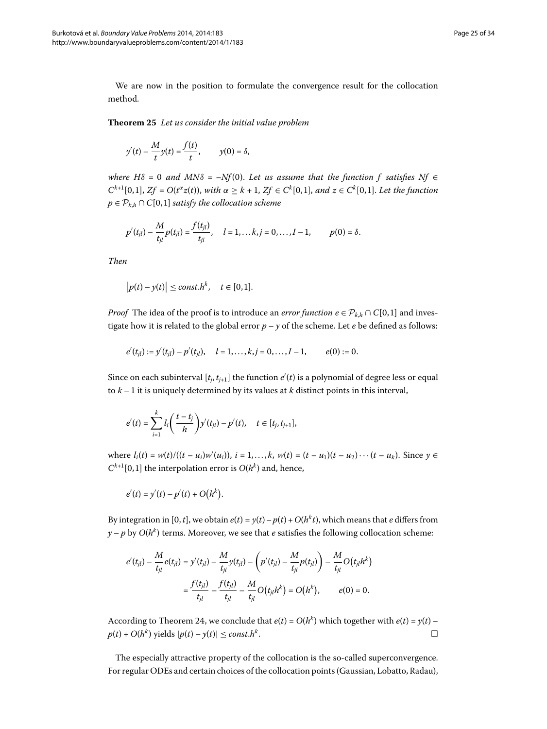<span id="page-24-0"></span>We are now in the position to formulate the convergence result for the collocation method.

**Theorem**  *Let us consider the initial value problem*

$$
y'(t) - \frac{M}{t}y(t) = \frac{f(t)}{t}, \qquad y(0) = \delta,
$$

*where H* $\delta$  = 0 and MN $\delta$  = –Nf(0). Let us assume that the function f satisfies Nf  $\epsilon$  $C^{k+1}[0,1], Zf = O(t^{\alpha}z(t)),$  *with*  $\alpha \geq k+1, Zf \in C^k[0,1],$  *and*  $z \in C^k[0,1].$  *Let the function*  $p \in \mathcal{P}_{k,h} \cap C[0,1]$  *satisfy the collocation scheme* 

$$
p'(t_{jl}) - \frac{M}{t_{jl}} p(t_{jl}) = \frac{f(t_{jl})}{t_{jl}}, \quad l = 1, \dots k, j = 0, \dots, I-1, \qquad p(0) = \delta.
$$

*Then*

$$
\big|p(t)-y(t)\big|\leq const.h^k,\quad t\in[0,1].
$$

*Proof* The idea of the proof is to introduce an *error function*  $e \in \mathcal{P}_{k,h} \cap C[0,1]$  and investigate how it is related to the global error  $p - y$  of the scheme. Let  $e$  be defined as follows:

$$
e'(t_{jl}) := y'(t_{jl}) - p'(t_{jl}), \quad l = 1, ..., k, j = 0, ..., I - 1, \qquad e(0) := 0.
$$

Since on each subinterval  $[t_j, t_{j+1}]$  the function  $e'(t)$  is a polynomial of degree less or equal to  $k-1$  it is uniquely determined by its values at  $k$  distinct points in this interval,

$$
e'(t) = \sum_{i=1}^k l_i \left( \frac{t - t_j}{h} \right) y'(t_{ji}) - p'(t), \quad t \in [t_j, t_{j+1}],
$$

where  $l_i(t) = w(t) / ((t - u_i) w'(u_i)), i = 1,...,k, w(t) = (t - u_1)(t - u_2) \cdots (t - u_k).$  Since  $y \in$  $C^{k+1}[0,1]$  the interpolation error is  $O(h^k)$  and, hence,

$$
e'(t) = y'(t) - p'(t) + O(h^k).
$$

By integration in [0, *t*], we obtain  $e(t) = y(t) - p(t) + O(h^k t)$ , which means that *e* differs from  $y - p$  by  $O(h^k)$  terms. Moreover, we see that *e* satisfies the following collocation scheme:

$$
e'(t_{jl}) - \frac{M}{t_{jl}}e(t_{jl}) = y'(t_{jl}) - \frac{M}{t_{jl}}y(t_{jl}) - \left(p'(t_{jl}) - \frac{M}{t_{jl}}p(t_{jl})\right) - \frac{M}{t_{jl}}O(t_{jl}h^k)
$$

$$
= \frac{f(t_{jl})}{t_{jl}} - \frac{f(t_{jl})}{t_{jl}} - \frac{M}{t_{jl}}O(t_{jl}h^k) = O(h^k), \qquad e(0) = 0.
$$

According to Theorem 24, we conclude that  $e(t) = O(h^k)$  which together with  $e(t) = y(t)$  –  $p(t) + O(h^k)$  yields  $|p(t) - y(t)| \leq const.h^k$ .

The especially attractive property of the collocation is the so-called superconvergence. For regular ODEs and certain choices of the collocation points (Gaussian, Lobatto, Radau),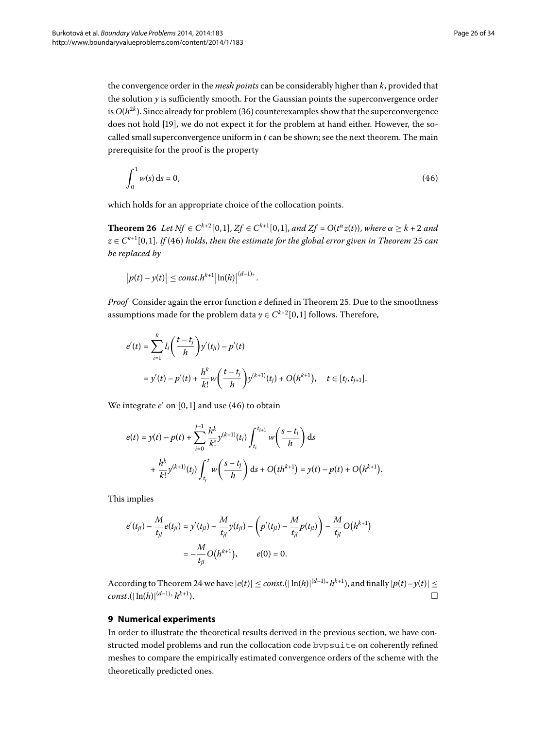the convergence order in the *mesh points* can be considerably higher than *k*, provided that the solution *y* is sufficiently smooth. For the Gaussian points the superconvergence order is  $O(h^{2k})$ . Since already for problem (36) counterexamples show that the superconvergence does not hold [19[\]](#page-32-12), we do not expect it for the problem at hand either. However, the socalled small superconvergence uniform in *t* can be shown; see the next theorem. The main prerequisite for the proof is the property

<span id="page-25-1"></span>
$$
\int_0^1 w(s) \, \mathrm{d}s = 0,\tag{46}
$$

which holds for an appropriate choice of the collocation points.

**Theorem 26** Let  $Nf \in C^{k+2}[0,1], Zf \in C^{k+1}[0,1],$  and  $Zf = O(t^{\alpha}z(t))$ , where  $\alpha > k+2$  and  $z \in C^{k+1}[0, 1]$ . *If* (46[\)](#page-25-1) holds, then the estimate for the global error given in Theorem 25 can *be replaced by*

$$
\big|p(t)-y(t)\big|\leq const.h^{k+1}\big|\ln(h)\big|^{(d-1)_+}.
$$

*Proof* Consider again the error function *e* defined in Theorem 25. Due to the smoothness assumptions made for the problem data  $y \in C^{k+2}[0,1]$  follows. Therefore,

$$
e'(t) = \sum_{i=1}^{k} l_i \left( \frac{t - t_j}{h} \right) y'(t_{ji}) - p'(t)
$$
  
=  $y'(t) - p'(t) + \frac{h^k}{k!} w \left( \frac{t - t_j}{h} \right) y^{(k+1)}(t_j) + O(h^{k+1}), \quad t \in [t_j, t_{j+1}].$ 

We integrate *e*' on [0,1] and use [\(](#page-25-1)46) to obtain

$$
e(t) = y(t) - p(t) + \sum_{i=0}^{j-1} \frac{h^k}{k!} y^{(k+1)}(t_i) \int_{t_i}^{t_{i+1}} w\left(\frac{s-t_i}{h}\right) ds
$$
  
+ 
$$
\frac{h^k}{k!} y^{(k+1)}(t_j) \int_{t_j}^t w\left(\frac{s-t_j}{h}\right) ds + O\left(th^{k+1}\right) = y(t) - p(t) + O\left(h^{k+1}\right).
$$

<span id="page-25-0"></span>This implies

$$
e'(t_{jl}) - \frac{M}{t_{jl}}e(t_{jl}) = y'(t_{jl}) - \frac{M}{t_{jl}}y(t_{jl}) - \left(p'(t_{jl}) - \frac{M}{t_{jl}}p(t_{jl})\right) - \frac{M}{t_{jl}}O(h^{k+1})
$$
  
=  $-\frac{M}{t_{jl}}O(h^{k+1}), \qquad e(0) = 0.$ 

According to Theorem 24 we have  $|e(t)| \leq const.(|\ln(h)|^{(d-1)_+}h^{k+1})$ , and finally  $|p(t)-y(t)| \leq$  $const.(|\ln(h)|^{(d-1)} + h^{k+1}).$ 

## **9 Numerical experiments**

In order to illustrate the theoretical results derived in the previous section, we have constructed model problems and run the collocation code bvpsuite on coherently refined meshes to compare the empirically estimated convergence orders of the scheme with the theoretically predicted ones.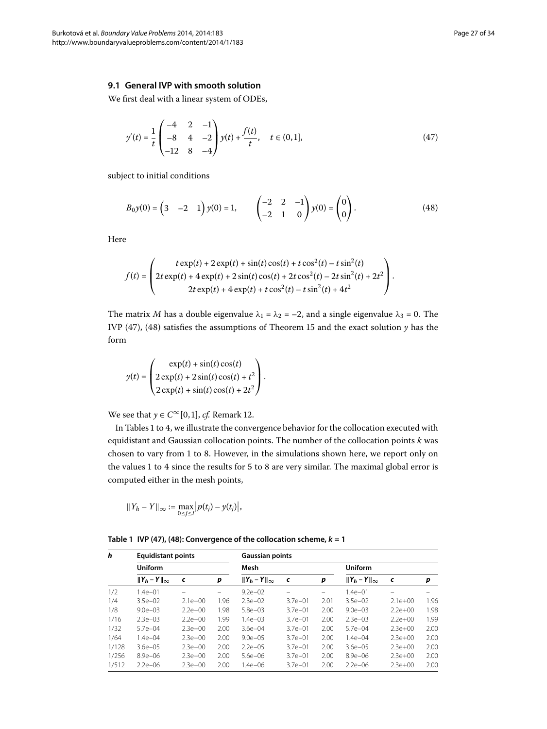### **9.1 General IVP with smooth solution**

We first deal with a linear system of ODEs,

<span id="page-26-1"></span><span id="page-26-0"></span>
$$
y'(t) = \frac{1}{t} \begin{pmatrix} -4 & 2 & -1 \\ -8 & 4 & -2 \\ -12 & 8 & -4 \end{pmatrix} y(t) + \frac{f(t)}{t}, \quad t \in (0, 1],
$$
 (47)

subject to initial conditions

$$
B_0 y(0) = \begin{pmatrix} 3 & -2 & 1 \end{pmatrix} y(0) = 1, \qquad \begin{pmatrix} -2 & 2 & -1 \\ -2 & 1 & 0 \end{pmatrix} y(0) = \begin{pmatrix} 0 \\ 0 \end{pmatrix}.
$$
 (48)

Here

$$
f(t) = \begin{pmatrix} t \exp(t) + 2 \exp(t) + \sin(t) \cos(t) + t \cos^{2}(t) - t \sin^{2}(t) \\ 2t \exp(t) + 4 \exp(t) + 2 \sin(t) \cos(t) + 2t \cos^{2}(t) - 2t \sin^{2}(t) + 2t^{2} \\ 2t \exp(t) + 4 \exp(t) + t \cos^{2}(t) - t \sin^{2}(t) + 4t^{2} \end{pmatrix}.
$$

The matrix *M* has a double eigenvalue  $\lambda_1 = \lambda_2 = -2$ , and a single eigenvalue  $\lambda_3 = 0$ . The IVP (47), (48) satisfies the assumptions of Theorem 15 and the exact solution  $y$  has the form

$$
y(t) = \begin{pmatrix} \exp(t) + \sin(t)\cos(t) \\ 2\exp(t) + 2\sin(t)\cos(t) + t^2 \\ 2\exp(t) + \sin(t)\cos(t) + 2t^2 \end{pmatrix}.
$$

We see that  $y \in C^\infty[0, 1]$ , *cf[.](#page-14-0)* Remark 12.

<span id="page-26-2"></span>In Tables 1 to 4[,](#page-27-0) we illustrate the convergence behavior for the collocation executed with equidistant and Gaussian collocation points. The number of the collocation points *k* was chosen to vary from 1 to 8. However, in the simulations shown here, we report only on the values 1 to 4 since the results for 5 to 8 are very similar. The maximal global error is computed either in the mesh points,

$$
||Y_h - Y||_{\infty} := \max_{0 \le j \le I} |p(t_j) - y(t_j)|,
$$

|  |  |  |  | Table 1 IVP (47), (48): Convergence of the collocation scheme, $k = 1$ |
|--|--|--|--|------------------------------------------------------------------------|
|--|--|--|--|------------------------------------------------------------------------|

| h     | <b>Equidistant points</b> |           |      |                        | <b>Gaussian points</b> |      |                        |           |      |  |  |
|-------|---------------------------|-----------|------|------------------------|------------------------|------|------------------------|-----------|------|--|--|
|       | Uniform                   |           |      | Mesh                   |                        |      |                        |           |      |  |  |
|       | $  Y_h - Y  _{\infty}$    | c         | р    | $  Y_h - Y  _{\infty}$ | c                      | p    | $  Y_h - Y  _{\infty}$ | c         | p    |  |  |
| 1/2   | $1.4e - 01$               |           |      | $9.2e - 02$            | -                      |      | $1.4e - 01$            | -         |      |  |  |
| 1/4   | $3.5e - 02$               | $2.1e+00$ | 1.96 | $2.3e-02$              | $3.7e - 01$            | 2.01 | $3.5e - 02$            | $2.1e+00$ | 1.96 |  |  |
| 1/8   | $9.0e - 0.3$              | $2.2e+00$ | 1.98 | $5.8e - 03$            | $3.7e - 01$            | 2.00 | $9.0e - 03$            | $2.2e+00$ | 1.98 |  |  |
| 1/16  | $2.3e - 0.3$              | $2.2e+00$ | 1.99 | $1.4e - 0.3$           | $3.7e - 01$            | 2.00 | $2.3e - 0.3$           | $2.2e+00$ | 1.99 |  |  |
| 1/32  | $5.7e - 04$               | $2.3e+00$ | 2.00 | $3.6e - 04$            | $3.7e - 01$            | 2.00 | $5.7e - 04$            | $2.3e+00$ | 2.00 |  |  |
| 1/64  | $1.4e - 04$               | $2.3e+00$ | 2.00 | $9.0e - 0.5$           | $3.7e - 01$            | 2.00 | $1.4e - 04$            | $2.3e+00$ | 2.00 |  |  |
| 1/128 | $3.6e - 0.5$              | $2.3e+00$ | 2.00 | $2.2e - 0.5$           | $3.7e - 01$            | 2.00 | $3.6e - 0.5$           | $2.3e+00$ | 2.00 |  |  |
| 1/256 | $8.9e - 06$               | $2.3e+00$ | 2.00 | $5.6e - 06$            | $3.7e - 01$            | 2.00 | $8.9e - 06$            | $2.3e+00$ | 2.00 |  |  |
| 1/512 | $2.2e - 06$               | $2.3e+00$ | 2.00 | $1.4e - 06$            | $3.7e - 01$            | 2.00 | $2.2e - 06$            | $2.3e+00$ | 2.00 |  |  |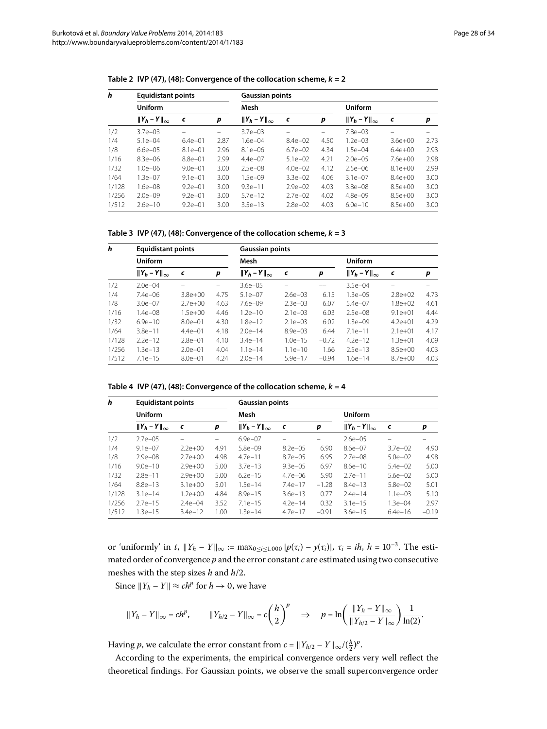| h     | <b>Equidistant points</b><br><b>Uniform</b> |             |      |                        | <b>Gaussian points</b> |          |                        |             |      |  |  |
|-------|---------------------------------------------|-------------|------|------------------------|------------------------|----------|------------------------|-------------|------|--|--|
|       |                                             |             |      | Mesh                   |                        |          |                        |             |      |  |  |
|       | $  Y_h - Y  _{\infty}$                      | c           | p    | $  Y_h - Y  _{\infty}$ | c                      | p        | $  Y_h - Y  _{\infty}$ | $\epsilon$  | р    |  |  |
| 1/2   | $3.7e - 03$                                 |             | -    | $3.7e - 03$            | $\qquad \qquad$        | $\equiv$ | $7.8e - 0.3$           |             |      |  |  |
| 1/4   | $5.1e - 04$                                 | $6.4e - 01$ | 2.87 | 1.6e-04                | $8.4e - 02$            | 4.50     | $1.2e - 03$            | $3.6e + 00$ | 2.73 |  |  |
| 1/8   | $6.6e - 0.5$                                | $8.1e - 01$ | 2.96 | $8.1e - 06$            | $6.7e - 02$            | 4.34     | $1.5e - 04$            | $6.4e+00$   | 2.93 |  |  |
| 1/16  | $8.3e - 06$                                 | $8.8e - 01$ | 2.99 | $4.4e - 07$            | $5.1e - 02$            | 4.21     | $2.0e - 05$            | $7.6e+00$   | 2.98 |  |  |
| 1/32  | $1.0e - 06$                                 | $9.0e - 01$ | 3.00 | $2.5e - 08$            | $4.0e - 02$            | 4.12     | $2.5e - 06$            | $8.1e+00$   | 2.99 |  |  |
| 1/64  | $1.3e - 07$                                 | $9.1e - 01$ | 3.00 | $1.5e - 09$            | $3.3e - 02$            | 4.06     | $3.1e - 07$            | $8.4e+00$   | 3.00 |  |  |
| 1/128 | $1.6e - 08$                                 | $9.2e - 01$ | 3.00 | $9.3e - 11$            | $2.9e - 02$            | 4.03     | $3.8e - 08$            | $8.5e+00$   | 3.00 |  |  |
| 1/256 | $2.0e - 09$                                 | $9.2e - 01$ | 3.00 | $5.7e-12$              | $2.7e - 02$            | 4.02     | $4.8e - 09$            | $8.5e+00$   | 3.00 |  |  |
| 1/512 | $2.6e - 10$                                 | $9.2e - 01$ | 3.00 | $3.5e-13$              | $2.8e - 02$            | 4.03     | $6.0e-10$              | $8.5e+00$   | 3.00 |  |  |

Table 2 IVP ([47\)](#page-26-0), ([48](#page-26-1)): Convergence of the collocation scheme,  $k = 2$ 

Table 3 IVP ([47\)](#page-26-0), ([48](#page-26-1)): Convergence of the collocation scheme,  $k = 3$ 

<span id="page-27-0"></span>

| h     | <b>Equidistant points</b><br>Uniform |             |      |                        | <b>Gaussian points</b> |         |                        |             |      |  |  |
|-------|--------------------------------------|-------------|------|------------------------|------------------------|---------|------------------------|-------------|------|--|--|
|       |                                      |             |      | Mesh                   |                        |         | <b>Uniform</b>         |             |      |  |  |
|       | $  Y_h - Y  _{\infty}$               | c           | р    | $  Y_h - Y  _{\infty}$ | $\epsilon$             | p       | $  Y_h - Y  _{\infty}$ | $\epsilon$  | p    |  |  |
| 1/2   | $2.0e - 04$                          |             |      | $3.6e - 05$            |                        |         | $3.5e - 04$            |             |      |  |  |
| 1/4   | $7.4e - 06$                          | $3.8e + 00$ | 4.75 | $5.1e - 07$            | $2.6e - 03$            | 6.15    | $1.3e - 05$            | $2.8e + 02$ | 4.73 |  |  |
| 1/8   | $3.0e - 07$                          | $2.7e+00$   | 4.63 | $7.6e - 09$            | $2.3e - 03$            | 6.07    | $5.4e - 07$            | $1.8e + 02$ | 4.61 |  |  |
| 1/16  | $1.4e - 08$                          | $1.5e + 00$ | 4.46 | $1.2e-10$              | $2.1e - 03$            | 6.03    | $2.5e - 08$            | $9.1e + 01$ | 4.44 |  |  |
| 1/32  | $6.9e - 10$                          | $8.0e - 01$ | 4.30 | $1.8e-12$              | $2.1e - 03$            | 6.02    | $1.3e - 09$            | $4.2e + 01$ | 4.29 |  |  |
| 1/64  | $3.8e - 11$                          | $4.4e - 01$ | 4.18 | $2.0e-14$              | $8.9e - 03$            | 6.44    | $7.1e-11$              | $2.1e+01$   | 4.17 |  |  |
| 1/128 | $2.2e-12$                            | $2.8e - 01$ | 4.10 | $3.4e - 14$            | $1.0e-15$              | $-0.72$ | $4.2e-12$              | $1.3e + 01$ | 4.09 |  |  |
| 1/256 | $1.3e-13$                            | $2.0e - 01$ | 4.04 | $1.1e-14$              | $1.1e-10$              | 1.66    | $2.5e-13$              | $8.5e+00$   | 4.03 |  |  |
| 1/512 | $7.1e-15$                            | $8.0e - 01$ | 4.24 | $2.0e-14$              | $5.9e-17$              | $-0.94$ | $1.6e-14$              | $8.7e+00$   | 4.03 |  |  |

Table 4 IVP ([47\)](#page-26-0), ([48](#page-26-1)): Convergence of the collocation scheme,  $k = 4$ 

| h     | <b>Equidistant points</b> |             |      | <b>Gaussian points</b> |              |         |                        |              |         |
|-------|---------------------------|-------------|------|------------------------|--------------|---------|------------------------|--------------|---------|
|       | Uniform                   |             |      | Mesh                   |              |         |                        |              |         |
|       | $  Y_h - Y  _{\infty}$    | c           | p    | $  Y_h - Y  _{\infty}$ | $\epsilon$   | p       | $  Y_h - Y  _{\infty}$ | $\epsilon$   | р       |
| 1/2   | $2.7e - 0.5$              |             |      | $6.9e - 07$            |              |         | $2.6e - 0.5$           |              |         |
| 1/4   | $9.1e - 07$               | $2.2e+00$   | 4.91 | $5.8e - 09$            | $8.2e - 0.5$ | 6.90    | $8.6e - 07$            | $3.7e + 02$  | 4.90    |
| 1/8   | $2.9e - 08$               | $2.7e+00$   | 4.98 | $4.7e - 11$            | $8.7e - 05$  | 6.95    | $2.7e - 08$            | $5.0e + 02$  | 4.98    |
| 1/16  | $9.0e - 10$               | $2.9e + 00$ | 5.00 | $3.7e-13$              | $9.3e - 0.5$ | 6.97    | $8.6e-10$              | $5.4e+02$    | 5.00    |
| 1/32  | $2.8e - 11$               | $2.9e + 00$ | 5.00 | $6.2e-15$              | $4.7e - 06$  | 5.90    | $2.7e-11$              | $5.6e+02$    | 5.00    |
| 1/64  | $8.8e - 13$               | $3.1e + 00$ | 5.01 | $1.5e-14$              | $7.4e-17$    | $-1.28$ | $8.4e-13$              | $5.8e+02$    | 5.01    |
| 1/128 | $3.1e-14$                 | $1.2e + 00$ | 4.84 | $8.9e - 15$            | $3.6e - 13$  | 0.77    | $2.4e-14$              | $1.1e + 0.3$ | 5.10    |
| 1/256 | $2.7e-15$                 | $2.4e - 04$ | 3.52 | $7.1e-15$              | $4.2e-14$    | 0.32    | $3.1e - 15$            | $1.3e - 04$  | 2.97    |
| 1/512 | $1.3e-15$                 | $3.4e-12$   | 1.00 | $1.3e-14$              | $4.7e-17$    | $-0.91$ | $3.6e - 15$            | $6.4e-16$    | $-0.19$ |

or 'uniformly' in *t*,  $||Y_h - Y||_{\infty} := \max_{0 \le i \le 1.000} |p(\tau_i) - y(\tau_i)|$ ,  $\tau_i = ih$ ,  $h = 10^{-3}$ . The estimated order of convergence *p* and the error constant *c* are estimated using two consecutive meshes with the step sizes  $h$  and  $h/2$ .

Since  $||Y_h - Y|| \approx ch^p$  for  $h \to 0$ , we have

$$
\|Y_h - Y\|_\infty = ch^p, \qquad \|Y_{h/2} - Y\|_\infty = c\left(\frac{h}{2}\right)^p \quad \Rightarrow \quad p = \ln\left(\frac{\|Y_h - Y\|_\infty}{\|Y_{h/2} - Y\|_\infty}\right) \frac{1}{\ln(2)}.
$$

Having *p*, we calculate the error constant from  $c = ||Y_{h/2} - Y||_{\infty}/(\frac{h}{2})^p$ .

According to the experiments, the empirical convergence orders very well reflect the theoretical findings. For Gaussian points, we observe the small superconvergence order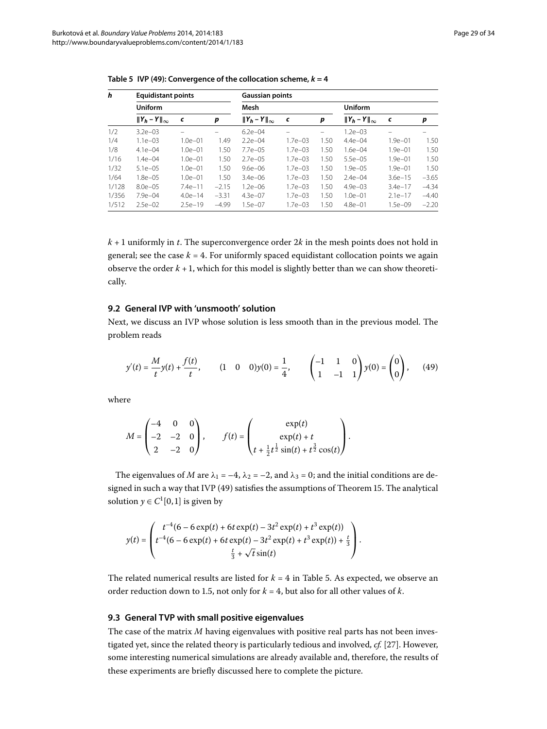| h     | <b>Equidistant points</b><br>Uniform |             |         |                        | <b>Gaussian points</b> |      |                        |             |         |  |  |
|-------|--------------------------------------|-------------|---------|------------------------|------------------------|------|------------------------|-------------|---------|--|--|
|       |                                      |             |         | Mesh                   |                        |      |                        |             |         |  |  |
|       | $  Y_h - Y  _{\infty}$               | $\epsilon$  | p       | $  Y_h - Y  _{\infty}$ | c                      | p    | $  Y_h - Y  _{\infty}$ | c           | p       |  |  |
| 1/2   | $3.2e - 03$                          |             |         | $6.2e - 04$            | -                      | -    | $1.2e - 03$            |             |         |  |  |
| 1/4   | $1.1e - 03$                          | 1.0e–01     | 1.49    | $2.2e-04$              | $1.7e - 03$            | 1.50 | $4.4e - 04$            | $1.9e - 01$ | 1.50    |  |  |
| 1/8   | $4.1e - 04$                          | $1.0e - 01$ | 1.50    | $7.7e - 05$            | $1.7e - 0.3$           | 1.50 | $1.6e - 04$            | $1.9e - 01$ | 1.50    |  |  |
| 1/16  | $1.4e - 04$                          | $1.0e - 01$ | 1.50    | $2.7e - 0.5$           | $1.7e - 0.3$           | 1.50 | $5.5e - 05$            | $1.9e - 01$ | 1.50    |  |  |
| 1/32  | $5.1e - 05$                          | $1.0e - 01$ | 1.50    | $9.6e - 06$            | $1.7e - 03$            | 1.50 | $1.9e - 0.5$           | $1.9e - 01$ | 1.50    |  |  |
| 1/64  | $1.8e - 0.5$                         | $1.0e - 01$ | 1.50    | $3.4e - 06$            | $1.7e - 03$            | 1.50 | $2.4e - 04$            | $3.6e - 15$ | $-3.65$ |  |  |
| 1/128 | $8.0e - 0.5$                         | $7.4e-11$   | $-2.15$ | $1.2e - 06$            | $1.7e - 03$            | 1.50 | $4.9e - 03$            | $3.4e-17$   | $-4.34$ |  |  |
| 1/356 | $7.9e - 04$                          | $4.0e - 14$ | $-3.31$ | $4.3e - 07$            | $1.7e - 03$            | 1.50 | $1.0e - 01$            | $2.1e-17$   | $-4.40$ |  |  |
| 1/512 | $2.5e-02$                            | $2.5e-19$   | $-4.99$ | $1.5e-07$              | $1.7e - 03$            | 1.50 | $4.8e - 01$            | $1.5e - 09$ | $-2.20$ |  |  |

<span id="page-28-1"></span>Table 5 IVP ([49\)](#page-28-0): Convergence of the collocation scheme,  $k = 4$ 

 $k + 1$  uniformly in *t*. The superconvergence order  $2k$  in the mesh points does not hold in general; see the case  $k = 4$ . For uniformly spaced equidistant collocation points we again observe the order  $k + 1$ , which for this model is slightly better than we can show theoretically.

#### **9.2 General IVP with 'unsmooth' solution**

Next, we discuss an IVP whose solution is less smooth than in the previous model. The problem reads

<span id="page-28-0"></span>
$$
y'(t) = \frac{M}{t}y(t) + \frac{f(t)}{t}, \qquad (1 \quad 0 \quad 0)y(0) = \frac{1}{4}, \qquad \begin{pmatrix} -1 & 1 & 0 \\ 1 & -1 & 1 \end{pmatrix}y(0) = \begin{pmatrix} 0 \\ 0 \end{pmatrix}, \qquad (49)
$$

where

$$
M = \begin{pmatrix} -4 & 0 & 0 \\ -2 & -2 & 0 \\ 2 & -2 & 0 \end{pmatrix}, \qquad f(t) = \begin{pmatrix} \exp(t) \\ \exp(t) + t \\ t + \frac{1}{2}t^{\frac{1}{2}}\sin(t) + t^{\frac{3}{2}}\cos(t) \end{pmatrix}.
$$

The eigenvalues of *M* are  $\lambda_1 = -4$ ,  $\lambda_2 = -2$ , and  $\lambda_3 = 0$ ; and the initial conditions are designed in such a way that IVP  $(49)$  satisfies the assumptions of Theorem 15[.](#page-17-2) The analytical solution  $y \in C^1[0,1]$  is given by

$$
y(t) = \begin{pmatrix} t^{-4}(6 - 6 \exp(t) + 6t \exp(t) - 3t^2 \exp(t) + t^3 \exp(t)) \\ t^{-4}(6 - 6 \exp(t) + 6t \exp(t) - 3t^2 \exp(t) + t^3 \exp(t)) + \frac{t}{3} \\ \frac{t}{3} + \sqrt{t} \sin(t) \end{pmatrix}.
$$

The related numerical results are listed for  $k = 4$  in Table 5. As expected, we observe an order reduction down to 1.5, not only for  $k = 4$ , but also for all other values of  $k$ .

#### **9.3 General TVP with small positive eigenvalues**

The case of the matrix *M* having eigenvalues with positive real parts has not been investigated yet, since the related theory is particularly tedious and involved, *cf.* [\[](#page-33-6)27]. However, some interesting numerical simulations are already available and, therefore, the results of these experiments are briefly discussed here to complete the picture.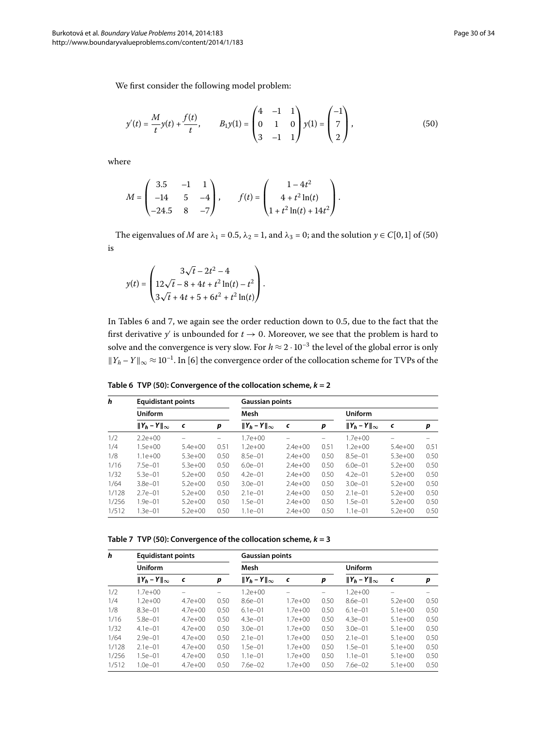We first consider the following model problem:

<span id="page-29-0"></span>
$$
y'(t) = \frac{M}{t}y(t) + \frac{f(t)}{t}, \qquad B_1y(1) = \begin{pmatrix} 4 & -1 & 1 \\ 0 & 1 & 0 \\ 3 & -1 & 1 \end{pmatrix} y(1) = \begin{pmatrix} -1 \\ 7 \\ 2 \end{pmatrix}, \tag{50}
$$

where

$$
M = \begin{pmatrix} 3.5 & -1 & 1 \\ -14 & 5 & -4 \\ -24.5 & 8 & -7 \end{pmatrix}, \qquad f(t) = \begin{pmatrix} 1 - 4t^2 \\ 4 + t^2 \ln(t) \\ 1 + t^2 \ln(t) + 14t^2 \end{pmatrix}.
$$

The eigenvalues of *M* are  $\lambda_1 = 0.5$ ,  $\lambda_2 = 1$ , and  $\lambda_3 = 0$ ; and the solution  $\gamma \in C[0,1]$  of (50) is

$$
y(t) = \begin{pmatrix} 3\sqrt{t} - 2t^2 - 4 \\ 12\sqrt{t} - 8 + 4t + t^2 \ln(t) - t^2 \\ 3\sqrt{t} + 4t + 5 + 6t^2 + t^2 \ln(t) \end{pmatrix}.
$$

<span id="page-29-1"></span>In Tables 6 and 7, we again see the order reduction down to 0.5, due to the fact that the first derivative  $y'$  is unbounded for  $t \to 0.$  Moreover, we see that the problem is hard to solve and the convergence is very slow. For  $h \approx 2 \cdot 10^{-3}$  the level of the global error is only  $||Y_h - Y||_{\infty} \approx 10^{-1}$ . In [6[\]](#page-32-5) the convergence order of the collocation scheme for TVPs of the

**Table 6 TVP ([50](#page-29-0)): Convergence of the collocation scheme,** *k* **= 2**

<span id="page-29-2"></span>

| h     |                        | <b>Equidistant points</b> |      |                        | <b>Gaussian points</b> |      |                        |             |      |
|-------|------------------------|---------------------------|------|------------------------|------------------------|------|------------------------|-------------|------|
|       | <b>Uniform</b>         |                           |      | Mesh                   |                        |      |                        |             |      |
|       | $  Y_h - Y  _{\infty}$ | c                         | p    | $  Y_h - Y  _{\infty}$ | $\epsilon$             | p    | $  Y_h - Y  _{\infty}$ | c           | p    |
| 1/2   | $2.2e+00$              |                           | -    | $1.7e + 00$            |                        |      | $1.7e + 00$            | -           |      |
| 1/4   | $1.5e+00$              | $5.4e+00$                 | 0.51 | $1.2e + 00$            | $2.4e + 00$            | 0.51 | $1.2e + 00$            | $5.4e+00$   | 0.51 |
| 1/8   | $1.1e + 00$            | $5.3e+00$                 | 0.50 | $8.5e - 01$            | $2.4e+00$              | 0.50 | $8.5e - 01$            | $5.3e+00$   | 0.50 |
| 1/16  | $7.5e - 01$            | $5.3e + 00$               | 0.50 | $6.0e - 01$            | $2.4e+00$              | 0.50 | $6.0e - 01$            | $5.2e + 00$ | 0.50 |
| 1/32  | $5.3e - 01$            | $5.2e+00$                 | 0.50 | $4.2e - 01$            | $2.4e+00$              | 0.50 | $4.2e - 01$            | $5.2e + 00$ | 0.50 |
| 1/64  | $3.8e - 01$            | $5.2e+00$                 | 0.50 | $3.0e - 01$            | $2.4e+00$              | 0.50 | $3.0e - 01$            | $5.2e + 00$ | 0.50 |
| 1/128 | $2.7e - 01$            | $5.2e+00$                 | 0.50 | $2.1e - 01$            | $2.4e+00$              | 0.50 | $2.1e - 01$            | $5.2e + 00$ | 0.50 |
| 1/256 | $1.9e - 01$            | $5.2e+00$                 | 0.50 | $1.5e - 01$            | $2.4e+00$              | 0.50 | $1.5e - 01$            | $5.2e+00$   | 0.50 |
| 1/512 | $1.3e - 01$            | $5.2e+00$                 | 0.50 | $1.1e - 01$            | $2.4e+00$              | 0.50 | $1.1e - 01$            | $5.2e+00$   | 0.50 |

**Table 7 TVP ([50](#page-29-0)): Convergence of the collocation scheme,** *k* **= 3**

| h     | <b>Equidistant points</b><br>Uniform |             |      | <b>Gaussian points</b> |             |      |                        |           |      |  |
|-------|--------------------------------------|-------------|------|------------------------|-------------|------|------------------------|-----------|------|--|
|       |                                      |             |      | Mesh                   |             |      |                        |           |      |  |
|       | $  Y_h - Y  _{\infty}$               | c           | p    | $  Y_h - Y  _{\infty}$ | $\epsilon$  | p    | $  Y_h - Y  _{\infty}$ | c         | р    |  |
| 1/2   | $1.7e + 00$                          |             | -    | $1.2e + 00$            |             |      | $1.2e + 00$            | -         |      |  |
| 1/4   | $1.2e + 00$                          | $4.7e + 00$ | 0.50 | $8.6e - 01$            | $1.7e + 00$ | 0.50 | $8.6e - 01$            | $5.2e+00$ | 0.50 |  |
| 1/8   | $8.3e - 01$                          | $4.7e + 00$ | 0.50 | $6.1e - 01$            | $1.7e + 00$ | 0.50 | $6.1e - 01$            | $5.1e+00$ | 0.50 |  |
| 1/16  | $5.8e - 01$                          | $4.7e + 00$ | 0.50 | $4.3e - 01$            | $1.7e + 00$ | 0.50 | $4.3e - 01$            | $5.1e+00$ | 0.50 |  |
| 1/32  | $4.1e - 01$                          | $4.7e + 00$ | 0.50 | $3.0e - 01$            | $1.7e + 00$ | 0.50 | $3.0e - 01$            | $5.1e+00$ | 0.50 |  |
| 1/64  | $2.9e - 01$                          | $4.7e + 00$ | 0.50 | $2.1e - 01$            | $1.7e + 00$ | 0.50 | $2.1e - 01$            | $5.1e+00$ | 0.50 |  |
| 1/128 | $2.1e - 01$                          | $4.7e + 00$ | 0.50 | $1.5e - 01$            | $1.7e + 00$ | 0.50 | $1.5e - 01$            | $5.1e+00$ | 0.50 |  |
| 1/256 | $1.5e - 01$                          | $4.7e + 00$ | 0.50 | $1.1e - 01$            | $1.7e + 00$ | 0.50 | $1.1e - 01$            | $5.1e+00$ | 0.50 |  |
| 1/512 | $1.0e - 01$                          | $4.7e + 00$ | 0.50 | $7.6e - 02$            | $1.7e + 00$ | 0.50 | $7.6e - 02$            | $5.1e+00$ | 0.50 |  |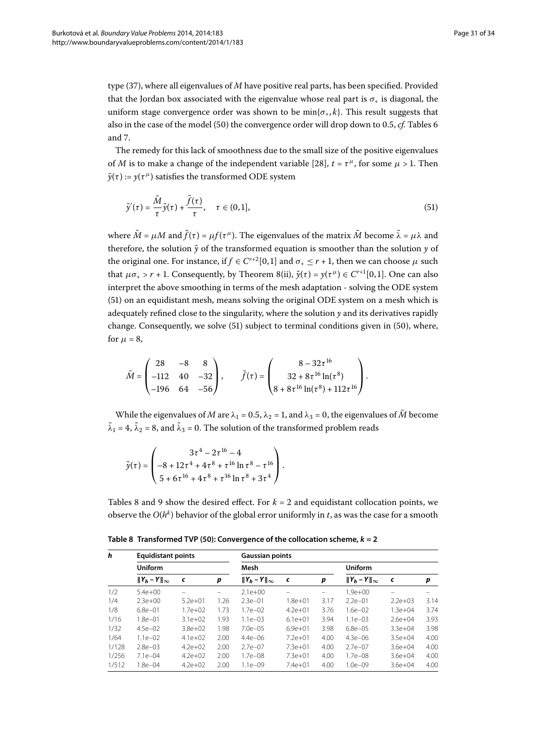type [\(](#page-16-0)37), where all eigenvalues of *M* have positive real parts, has been specified. Provided that the Jordan box associated with the eigenvalue whose real part is  $\sigma_{+}$  is diagonal, the uniform stage convergence order was shown to be  $\min{\lbrace \sigma_{+}, k \rbrace}$ . This result suggests that also in the case of the model (50) the convergence order will drop down to 0.5, *cf.* Tables 6 and 7[.](#page-29-2)

The remedy for this lack of smoothness due to the small size of the positive eigenvalues of *M* is to make a change of the independent variable [28[\]](#page-33-7),  $t = \tau^{\mu}$ , for some  $\mu > 1$ . Then  $\tilde{\gamma}(\tau) := \gamma(\tau^{\mu})$  satisfies the transformed ODE system

<span id="page-30-0"></span>
$$
\tilde{y}'(\tau) = \frac{\tilde{M}}{\tau} \tilde{y}(\tau) + \frac{\tilde{f}(\tau)}{\tau}, \quad \tau \in (0, 1], \tag{51}
$$

where  $\tilde{M} = \mu M$  and  $\tilde{f}(\tau) = \mu f(\tau^{\mu})$ . The eigenvalues of the matrix  $\tilde{M}$  become  $\tilde{\lambda} = \mu \lambda$  and therefore, the solution  $\tilde{y}$  of the transformed equation is smoother than the solution  $y$  of the original one. For instance, if  $f \in C^{r+2}[0,1]$  and  $\sigma_+ \leq r+1$ , then we can choose  $\mu$  such that  $\mu \sigma_+ > r + 1$ . Consequently, by Theorem 8[\(](#page-8-0)ii),  $\tilde{y}(\tau) = y(\tau^{\mu}) \in C^{r+1}[0,1]$ . One can also interpret the above smoothing in terms of the mesh adaptation - solving the ODE system (51[\)](#page-30-0) on an equidistant mesh, means solving the original ODE system on a mesh which is adequately refined close to the singularity, where the solution  $y$  and its derivatives rapidly change. Consequently, we solve  $(51)$  $(51)$  subject to terminal conditions given in  $(50)$ , where, for  $\mu = 8$ ,

$$
\tilde{M} = \begin{pmatrix} 28 & -8 & 8 \\ -112 & 40 & -32 \\ -196 & 64 & -56 \end{pmatrix}, \qquad \tilde{f}(\tau) = \begin{pmatrix} 8 - 32\tau^{16} \\ 32 + 8\tau^{16} \ln(\tau^8) \\ 8 + 8\tau^{16} \ln(\tau^8) + 112\tau^{16} \end{pmatrix}.
$$

While the eigenvalues of *M* are  $\lambda_1 = 0.5$ ,  $\lambda_2 = 1$ , and  $\lambda_3 = 0$ , the eigenvalues of  $\tilde{M}$  become  $\tilde{\lambda}_1 = 4$ ,  $\tilde{\lambda}_2 = 8$ , and  $\tilde{\lambda}_3 = 0$ . The solution of the transformed problem reads

$$
\tilde{y}(\tau) = \begin{pmatrix} 3\tau^4 - 2\tau^{16} - 4 \\ -8 + 12\tau^4 + 4\tau^8 + \tau^{16} \ln \tau^8 - \tau^{16} \\ 5 + 6\tau^{16} + 4\tau^8 + \tau^{16} \ln \tau^8 + 3\tau^4 \end{pmatrix}.
$$

<span id="page-30-1"></span>Tables 8 and 9 show the desired effect. For  $k = 2$  and equidistant collocation points, we observe the  $O(h^k)$  behavior of the global error uniformly in *t*, as was the case for a smooth

| h     | <b>Equidistant points</b><br><b>Uniform</b> |             |      |                        | <b>Gaussian points</b> |      |                        |             |      |  |  |
|-------|---------------------------------------------|-------------|------|------------------------|------------------------|------|------------------------|-------------|------|--|--|
|       |                                             |             |      | Mesh                   |                        |      |                        |             |      |  |  |
|       | $  Y_h - Y  _{\infty}$                      | c           | p    | $  Y_h - Y  _{\infty}$ | c                      | p    | $  Y_h - Y  _{\infty}$ | $\epsilon$  | p    |  |  |
| 1/2   | $5.4e+00$                                   |             |      | $2.1e+00$              |                        |      | $1.9e + 00$            |             |      |  |  |
| 1/4   | $2.3e+00$                                   | $5.2e + 01$ | 1.26 | $2.3e - 01$            | $1.8e + 01$            | 3.17 | $2.2e - 01$            | $2.2e+03$   | 3.14 |  |  |
| 1/8   | $6.8e - 01$                                 | $1.7e + 02$ | 1.73 | $1.7e - 02$            | $4.2e + 01$            | 3.76 | $1.6e - 02$            | $1.3e+04$   | 3.74 |  |  |
| 1/16  | $1.8e - 01$                                 | $3.1e+02$   | 1.93 | $1.1e - 03$            | $6.1e+01$              | 3.94 | $1.1e - 03$            | $2.6e + 04$ | 3.93 |  |  |
| 1/32  | $4.5e - 02$                                 | $3.8e + 02$ | 1.98 | $7.0e - 0.5$           | $6.9e + 01$            | 3.98 | $6.8e - 0.5$           | $3.3e+04$   | 3.98 |  |  |
| 1/64  | $1.1e - 02$                                 | $4.1e+02$   | 2.00 | $4.4e - 06$            | $7.2e + 01$            | 4.00 | $4.3e - 06$            | $3.5e + 04$ | 4.00 |  |  |
| 1/128 | $2.8e - 0.3$                                | $4.2e+02$   | 2.00 | $2.7e - 07$            | $7.3e+01$              | 4.00 | $2.7e - 07$            | $3.6e + 04$ | 4.00 |  |  |
| 1/256 | $7.1e - 04$                                 | $4.2e+02$   | 2.00 | $1.7e - 08$            | $7.3e+01$              | 4.00 | $1.7e - 08$            | $3.6e + 04$ | 4.00 |  |  |
| 1/512 | 1.8e-04                                     | $4.2e+02$   | 2.00 | $1.1e - 09$            | $7.4e+01$              | 4.00 | $1.0e - 09$            | $3.6e + 04$ | 4.00 |  |  |

**Table 8 Transformed TVP ([50](#page-29-0)): Convergence of the collocation scheme,** *k* **= 2**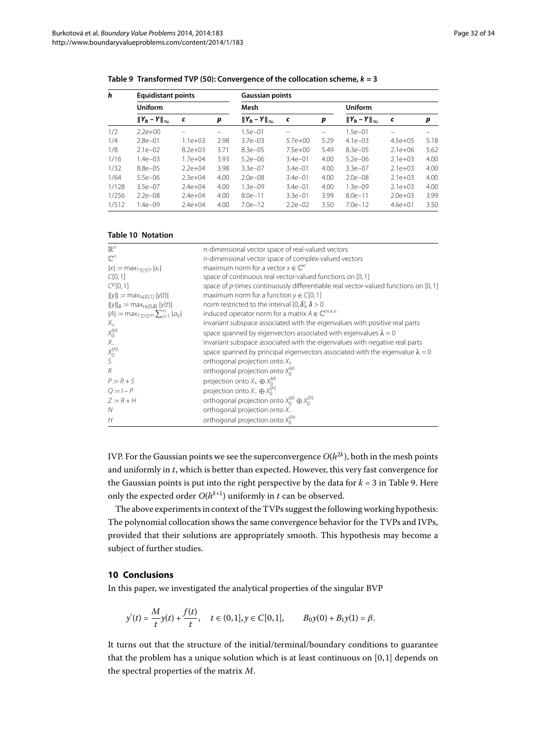<span id="page-31-0"></span>

| h     |                        | <b>Equidistant points</b> |      |                        | <b>Gaussian points</b> |      |                        |             |      |
|-------|------------------------|---------------------------|------|------------------------|------------------------|------|------------------------|-------------|------|
|       | <b>Uniform</b>         |                           |      | Mesh                   |                        |      |                        |             |      |
|       | $  Y_h - Y  _{\infty}$ | c                         | p    | $  Y_h - Y  _{\infty}$ | c                      | p    | $  Y_h - Y  _{\infty}$ | $\epsilon$  | p    |
| 1/2   | $2.2e+00$              |                           |      | $1.5e - 01$            |                        |      | $1.5e - 01$            |             |      |
| 1/4   | $2.8e - 01$            | $1.1e + 03$               | 2.98 | $3.7e - 03$            | $5.7e+00$              | 5.29 | $4.1e - 03$            | $4.5e+05$   | 5.18 |
| 1/8   | $2.1e - 02$            | $8.2e + 03$               | 3.71 | $8.3e - 0.5$           | $7.5e+00$              | 5.49 | $8.3e - 05$            | $2.1e+06$   | 5.62 |
| 1/16  | $1.4e - 0.3$           | $1.7e + 04$               | 3.93 | $5.2e - 06$            | $3.4e - 01$            | 4.00 | $5.2e - 06$            | $2.1e+03$   | 4.00 |
| 1/32  | $8.8e - 0.5$           | $2.2e+04$                 | 3.98 | $3.3e - 07$            | $3.4e - 01$            | 4.00 | $3.3e - 07$            | $2.1e+03$   | 4.00 |
| 1/64  | $5.5e - 06$            | $2.3e + 04$               | 4.00 | $2.0e - 08$            | $3.4e - 01$            | 4.00 | $2.0e - 08$            | $2.1e+03$   | 4.00 |
| 1/128 | $3.5e - 07$            | $2.4e+04$                 | 4.00 | $1.3e - 09$            | $3.4e - 01$            | 4.00 | $1.3e - 09$            | $2.1e+03$   | 4.00 |
| 1/256 | $2.2e - 08$            | $2.4e + 04$               | 4.00 | $8.0e - 11$            | $3.3e - 01$            | 3.99 | $8.0e - 11$            | $2.0e + 03$ | 3.99 |
| 1/512 | $1.4e - 09$            | $7.4e + 04$               | 4.00 | $7.0e-12$              | $2.2e - 02$            | 3.50 | $7.0e-12$              | $4.6e + 01$ | 3.50 |

<span id="page-31-2"></span>**Table 9 Transformed TVP ([50](#page-29-0)): Convergence of the collocation scheme,** *k* **= 3**

#### **Table 10 Notation**

| $\mathbb{R}^n$                                        | n-dimensional vector space of real-valued vectors                                    |
|-------------------------------------------------------|--------------------------------------------------------------------------------------|
| $\mathbb{C}^n$                                        | n-dimensional vector space of complex-valued vectors                                 |
| $ x  := max_{1 \le i \le n}  x_i $                    | maximum norm for a vector $x \in \mathbb{C}^n$                                       |
| C[0,1]                                                | space of continuous real vector-valued functions on [0, 1]                           |
| $C^{p}[0,1]$                                          | space of p-times continuously differentiable real vector-valued functions on $[0,1]$ |
| $  y   := max_{t \in [0,1]}  y(t) $                   | maximum norm for a function $y \in C[0,1]$                                           |
| $  y  _{\delta} := \max_{t \in [0,\delta]}  y(t) $    | norm restricted to the interval [0, $\delta$ ], $\delta > 0$                         |
| $ A  := \max_{1 \leq i \leq m} \sum_{i=1}^n  a_{ij} $ | induced operator norm for a matrix $A \in \mathbb{C}^{m \times n}$                   |
| $X_{+}$                                               | invariant subspace associated with the eigenvalues with positive real parts          |
| $\begin{matrix} X_0^{(e)} \\ X_- \end{matrix}$        | space spanned by eigenvectors associated with eigenvalues $\lambda = 0$              |
|                                                       | invariant subspace associated with the eigenvalues with negative real parts          |
| $\begin{matrix} X_0^{(h)} \\ S \end{matrix}$          | space spanned by principal eigenvectors associated with the eigenvalue $\lambda = 0$ |
|                                                       | orthogonal projection onto $X_+$                                                     |
| $\overline{R}$                                        | orthogonal projection onto $X_0^{(e)}$                                               |
| $P := R + S$                                          | projection onto $X_+\oplus X_0^{(e)}$                                                |
| $Q := I - P$                                          | projection onto $X_-\oplus X_0^{(h)}$                                                |
| $7 = R + H$                                           | orthogonal projection onto $X_0^{(e)} \oplus X_0^{(h)}$                              |
| N                                                     | orthogonal projection onto X_                                                        |
| H                                                     | orthogonal projection onto $X_0^{(h)}$                                               |

IVP. For the Gaussian points we see the superconvergence  $O(h^{2k})$ , both in the mesh points and uniformly in *t*, which is better than expected. However, this very fast convergence for the Gaussian points is put into the right perspective by the data for  $k = 3$  in Table 9[.](#page-31-2) Here only the expected order  $O(h^{k+1})$  uniformly in *t* can be observed.

<span id="page-31-1"></span>The above experiments in context of the TVPs suggest the following working hypothesis: The polynomial collocation shows the same convergence behavior for the TVPs and IVPs, provided that their solutions are appropriately smooth. This hypothesis may become a subject of further studies.

#### **10 Conclusions**

In this paper, we investigated the analytical properties of the singular BVP

$$
y'(t) = \frac{M}{t}y(t) + \frac{f(t)}{t}, \quad t \in (0,1], y \in C[0,1], \qquad B_0y(0) + B_1y(1) = \beta.
$$

It turns out that the structure of the initial/terminal/boundary conditions to guarantee that the problem has a unique solution which is at least continuous on  $[0,1]$  depends on the spectral properties of the matrix *M*.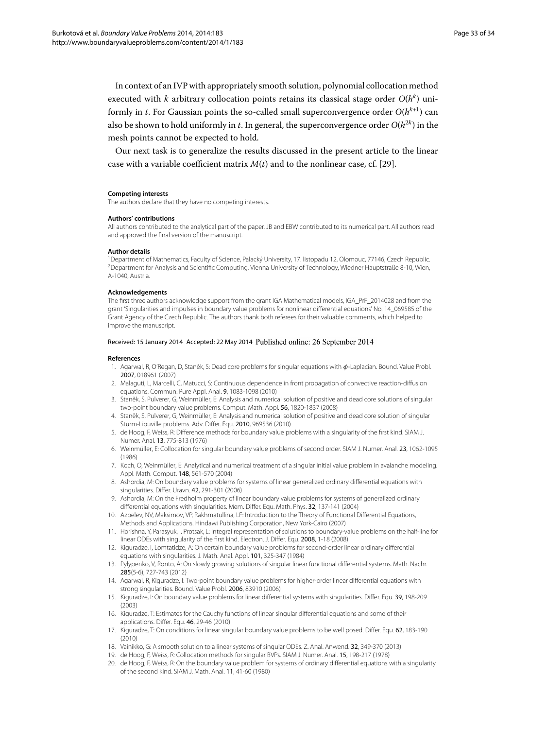In context of an IVP with appropriately smooth solution, polynomial collocation method executed with *k* arbitrary collocation points retains its classical stage order  $O(h^k)$  uniformly in *t*. For Gaussian points the so-called small superconvergence order  $O(h^{k+1})$  can also be shown to hold uniformly in *t*. In general, the superconvergence order  $O(h^{2k})$  in the mesh points cannot be expected to hold.

<span id="page-32-0"></span>Our next task is to generalize the results discussed in the present article to the linear case with a variable coefficient matrix  $M(t)$  and to the nonlinear case, cf. [29].

#### <span id="page-32-1"></span>**Competing interests**

The authors declare that they have no competing interests.

#### **Authors' contributions**

All authors contributed to the analytical part of the paper. JB and EBW contributed to its numerical part. All authors read and approved the final version of the manuscript.

#### **Author details**

1Department of Mathematics, Faculty of Science, Palacký University, 17. listopadu 12, Olomouc, 77146, Czech Republic. 2Department for Analysis and Scientific Computing, Vienna University of Technology, Wiedner Hauptstraße 8-10, Wien, A-1040, Austria.

#### <span id="page-32-2"></span>**Acknowledgements**

The first three authors acknowledge support from the grant IGA Mathematical models, IGA\_PrF\_2014028 and from the grant 'Singularities and impulses in boundary value problems for nonlinear differential equations' No. 14\_069585 of the Grant Agency of the Czech Republic. The authors thank both referees for their valuable comments, which helped to improve the manuscript.

#### <span id="page-32-4"></span><span id="page-32-3"></span>Received: 15 January 2014 Accepted: 22 May 2014 Published online: 26 September 2014

#### <span id="page-32-5"></span>**References**

- 1. Agarwal, R, O'Regan, D, Staněk, S: Dead core problems for singular equations with φ-Laplacian. Bound. Value Probl. 2007, 018961 (2007)
- <span id="page-32-6"></span>2. Malaguti, L, Marcelli, C, Matucci, S: Continuous dependence in front propagation of convective reaction-diffusion equations. Commun. Pure Appl. Anal. 9, 1083-1098 (2010)
- <span id="page-32-7"></span>3. Staněk, S, Pulverer, G, Weinmüller, E: Analysis and numerical solution of positive and dead core solutions of singular two-point boundary value problems. Comput. Math. Appl. 56, 1820-1837 (2008)
- 4. Staněk, S, Pulverer, G, Weinmüller, E: Analysis and numerical solution of positive and dead core solution of singular Sturm-Liouville problems. Adv. Differ. Equ. 2010, 969536 (2010)
- 5. de Hoog, F, Weiss, R: Difference methods for boundary value problems with a singularity of the first kind. SIAM J. Numer. Anal. 13, 775-813 (1976)
- 6. Weinmüller, E: Collocation for singular boundary value problems of second order. SIAM J. Numer. Anal. 23, 1062-1095 (1986)
- 7. Koch, O, Weinmüller, E: Analytical and numerical treatment of a singular initial value problem in avalanche modeling. Appl. Math. Comput. 148, 561-570 (2004)
- <span id="page-32-8"></span>8. Ashordia, M: On boundary value problems for systems of linear generalized ordinary differential equations with singularities. Differ. Uravn. 42, 291-301 (2006)
- <span id="page-32-9"></span>9. Ashordia, M: On the Fredholm property of linear boundary value problems for systems of generalized ordinary differential equations with singularities. Mem. Differ. Equ. Math. Phys. 32, 137-141 (2004)
- 10. Azbelev, NV, Maksimov, VP, Rakhmatullina, LF: Introduction to the Theory of Functional Differential Equations, Methods and Applications. Hindawi Publishing Corporation, New York-Cairo (2007)
- 11. Horishna, Y, Parasyuk, I, Protsak, L: Integral representation of solutions to boundary-value problems on the half-line for linear ODEs with singularity of the first kind. Electron. J. Differ. Equ. 2008, 1-18 (2008)
- <span id="page-32-10"></span>12. Kiguradze, I, Lomtatidze, A: On certain boundary value problems for second-order linear ordinary differential equations with singularities. J. Math. Anal. Appl. 101, 325-347 (1984)
- <span id="page-32-12"></span><span id="page-32-11"></span>13. Pylypenko, V, Ronto, A: On slowly growing solutions of singular linear functional differential systems. Math. Nachr. 285(5-6), 727-743 (2012)
- <span id="page-32-13"></span>14. Agarwal, R, Kiguradze, I: Two-point boundary value problems for higher-order linear differential equations with strong singularities. Bound. Value Probl. 2006, 83910 (2006)
- 15. Kiguradze, I: On boundary value problems for linear differential systems with singularities. Differ. Equ. 39, 198-209 (2003)
- 16. Kiguradze, T: Estimates for the Cauchy functions of linear singular differential equations and some of their applications. Differ. Equ. 46, 29-46 (2010)
- 17. Kiguradze, T: On conditions for linear singular boundary value problems to be well posed. Differ. Equ. 62, 183-190 (2010)
- 18. Vainikko, G: A smooth solution to a linear systems of singular ODEs. Z. Anal. Anwend. 32, 349-370 (2013)
- 19. de Hoog, F, Weiss, R: Collocation methods for singular BVPs. SIAM J. Numer. Anal. 15, 198-217 (1978)
- 20. de Hoog, F, Weiss, R: On the boundary value problem for systems of ordinary differential equations with a singularity of the second kind. SIAM J. Math. Anal. 11, 41-60 (1980)